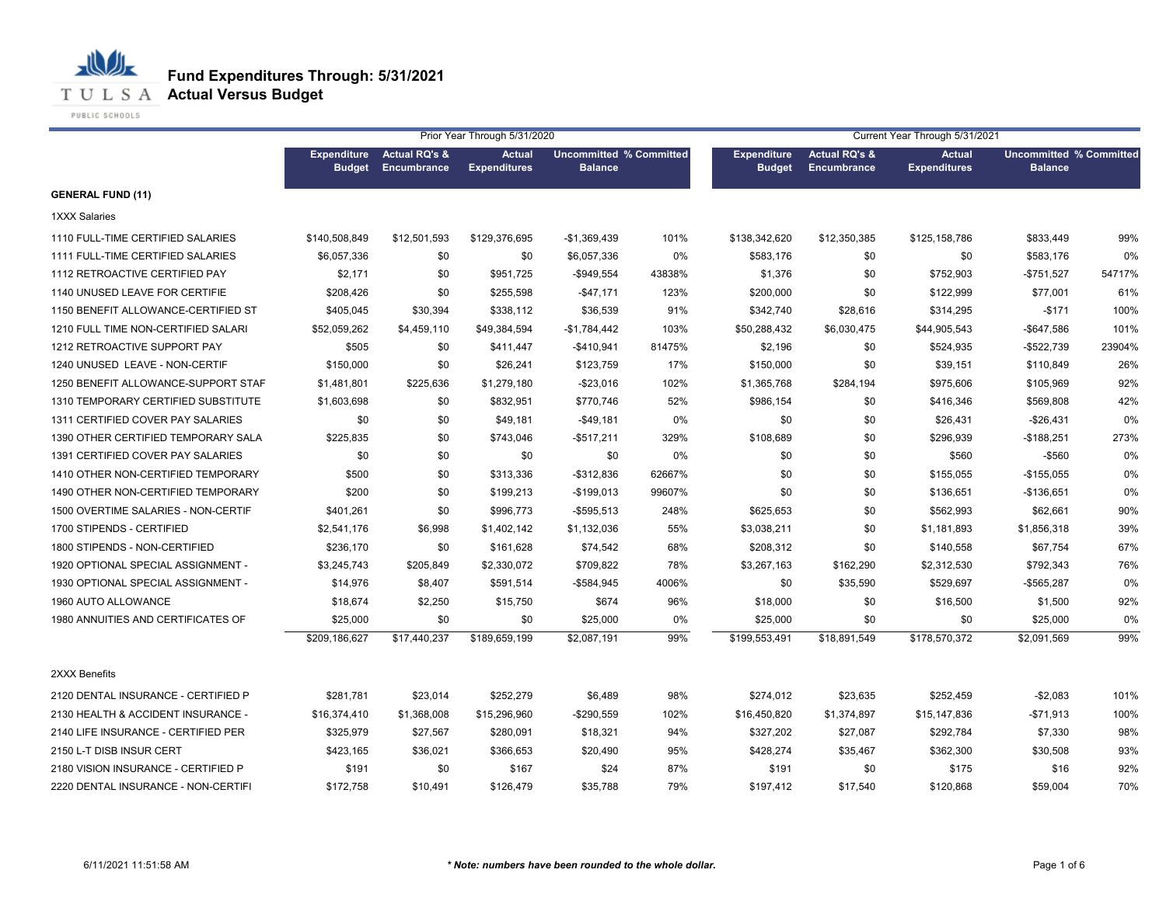

# **T U L S A Actual Versus Budget**

PUBLIC SCHOOLS

|                                     |                                     |                                         | Prior Year Through 5/31/2020         |                                                  |        | Current Year Through 5/31/2021      |                                                |                                      |                                                  |        |  |
|-------------------------------------|-------------------------------------|-----------------------------------------|--------------------------------------|--------------------------------------------------|--------|-------------------------------------|------------------------------------------------|--------------------------------------|--------------------------------------------------|--------|--|
|                                     | <b>Expenditure</b><br><b>Budget</b> | <b>Actual RQ's &amp;</b><br>Encumbrance | <b>Actual</b><br><b>Expenditures</b> | <b>Uncommitted % Committed</b><br><b>Balance</b> |        | <b>Expenditure</b><br><b>Budget</b> | <b>Actual RQ's &amp;</b><br><b>Encumbrance</b> | <b>Actual</b><br><b>Expenditures</b> | <b>Uncommitted % Committed</b><br><b>Balance</b> |        |  |
| <b>GENERAL FUND (11)</b>            |                                     |                                         |                                      |                                                  |        |                                     |                                                |                                      |                                                  |        |  |
| <b>1XXX Salaries</b>                |                                     |                                         |                                      |                                                  |        |                                     |                                                |                                      |                                                  |        |  |
| 1110 FULL-TIME CERTIFIED SALARIES   | \$140,508,849                       | \$12,501,593                            | \$129,376,695                        | $-$1,369,439$                                    | 101%   | \$138,342,620                       | \$12,350,385                                   | \$125,158,786                        | \$833,449                                        | 99%    |  |
| 1111 FULL-TIME CERTIFIED SALARIES   | \$6,057,336                         | \$0                                     | \$0                                  | \$6,057,336                                      | 0%     | \$583,176                           | \$0                                            | \$0                                  | \$583,176                                        | 0%     |  |
| 1112 RETROACTIVE CERTIFIED PAY      | \$2,171                             | \$0                                     | \$951,725                            | -\$949,554                                       | 43838% | \$1,376                             | \$0                                            | \$752,903                            | $-$751,527$                                      | 54717% |  |
| 1140 UNUSED LEAVE FOR CERTIFIE      | \$208,426                           | \$0                                     | \$255,598                            | $-$47,171$                                       | 123%   | \$200,000                           | \$0                                            | \$122,999                            | \$77,001                                         | 61%    |  |
| 1150 BENEFIT ALLOWANCE-CERTIFIED ST | \$405,045                           | \$30,394                                | \$338,112                            | \$36,539                                         | 91%    | \$342,740                           | \$28,616                                       | \$314,295                            | $-$171$                                          | 100%   |  |
| 1210 FULL TIME NON-CERTIFIED SALARI | \$52,059,262                        | \$4,459,110                             | \$49,384,594                         | $-$1,784,442$                                    | 103%   | \$50,288,432                        | \$6,030,475                                    | \$44,905,543                         | $-$647,586$                                      | 101%   |  |
| 1212 RETROACTIVE SUPPORT PAY        | \$505                               | \$0                                     | \$411,447                            | $-$410,941$                                      | 81475% | \$2,196                             | \$0                                            | \$524,935                            | $-$522,739$                                      | 23904% |  |
| 1240 UNUSED LEAVE - NON-CERTIF      | \$150,000                           | \$0                                     | \$26,241                             | \$123,759                                        | 17%    | \$150,000                           | \$0                                            | \$39,151                             | \$110,849                                        | 26%    |  |
| 1250 BENEFIT ALLOWANCE-SUPPORT STAF | \$1,481,801                         | \$225,636                               | \$1,279,180                          | $-$23,016$                                       | 102%   | \$1,365,768                         | \$284,194                                      | \$975,606                            | \$105,969                                        | 92%    |  |
| 1310 TEMPORARY CERTIFIED SUBSTITUTE | \$1,603,698                         | \$0                                     | \$832,951                            | \$770,746                                        | 52%    | \$986,154                           | \$0                                            | \$416,346                            | \$569,808                                        | 42%    |  |
| 1311 CERTIFIED COVER PAY SALARIES   | \$0                                 | \$0                                     | \$49,181                             | $-$49,181$                                       | 0%     | \$0                                 | \$0                                            | \$26,431                             | $-$26,431$                                       | 0%     |  |
| 1390 OTHER CERTIFIED TEMPORARY SALA | \$225,835                           | \$0                                     | \$743,046                            | -\$517,211                                       | 329%   | \$108,689                           | \$0                                            | \$296,939                            | $-$188,251$                                      | 273%   |  |
| 1391 CERTIFIED COVER PAY SALARIES   | \$0                                 | \$0                                     | \$0                                  | \$0                                              | 0%     | \$0                                 | \$0                                            | \$560                                | $-$ \$560                                        | 0%     |  |
| 1410 OTHER NON-CERTIFIED TEMPORARY  | \$500                               | \$0                                     | \$313,336                            | -\$312,836                                       | 62667% | \$0                                 | \$0                                            | \$155,055                            | $-$155,055$                                      | 0%     |  |
| 1490 OTHER NON-CERTIFIED TEMPORARY  | \$200                               | \$0                                     | \$199,213                            | $-$199,013$                                      | 99607% | \$0                                 | \$0                                            | \$136,651                            | $-$136,651$                                      | 0%     |  |
| 1500 OVERTIME SALARIES - NON-CERTIF | \$401,261                           | \$0                                     | \$996,773                            | $-$595,513$                                      | 248%   | \$625,653                           | \$0                                            | \$562,993                            | \$62,661                                         | 90%    |  |
| 1700 STIPENDS - CERTIFIED           | \$2,541,176                         | \$6,998                                 | \$1,402,142                          | \$1,132,036                                      | 55%    | \$3,038,211                         | \$0                                            | \$1,181,893                          | \$1,856,318                                      | 39%    |  |
| 1800 STIPENDS - NON-CERTIFIED       | \$236,170                           | \$0                                     | \$161,628                            | \$74,542                                         | 68%    | \$208,312                           | \$0                                            | \$140,558                            | \$67,754                                         | 67%    |  |
| 1920 OPTIONAL SPECIAL ASSIGNMENT -  | \$3,245,743                         | \$205,849                               | \$2,330,072                          | \$709,822                                        | 78%    | \$3,267,163                         | \$162,290                                      | \$2,312,530                          | \$792,343                                        | 76%    |  |
| 1930 OPTIONAL SPECIAL ASSIGNMENT -  | \$14,976                            | \$8,407                                 | \$591,514                            | -\$584,945                                       | 4006%  | \$0                                 | \$35,590                                       | \$529,697                            | $-$565,287$                                      | 0%     |  |
| 1960 AUTO ALLOWANCE                 | \$18,674                            | \$2,250                                 | \$15,750                             | \$674                                            | 96%    | \$18,000                            | \$0                                            | \$16,500                             | \$1,500                                          | 92%    |  |
| 1980 ANNUITIES AND CERTIFICATES OF  | \$25,000                            | \$0                                     | \$0                                  | \$25,000                                         | 0%     | \$25,000                            | \$0                                            | \$0                                  | \$25,000                                         | 0%     |  |
|                                     | \$209,186,627                       | \$17,440,237                            | \$189,659,199                        | \$2,087,191                                      | 99%    | \$199.553.491                       | \$18,891,549                                   | \$178,570,372                        | \$2,091,569                                      | 99%    |  |
| 2XXX Benefits                       |                                     |                                         |                                      |                                                  |        |                                     |                                                |                                      |                                                  |        |  |
| 2120 DENTAL INSURANCE - CERTIFIED P | \$281,781                           | \$23,014                                | \$252,279                            | \$6,489                                          | 98%    | \$274,012                           | \$23,635                                       | \$252,459                            | $-$2,083$                                        | 101%   |  |
| 2130 HEALTH & ACCIDENT INSURANCE -  | \$16,374,410                        | \$1,368,008                             | \$15,296,960                         | $-$290,559$                                      | 102%   | \$16,450,820                        | \$1,374,897                                    | \$15,147,836                         | -\$71,913                                        | 100%   |  |
| 2140 LIFE INSURANCE - CERTIFIED PER | \$325,979                           | \$27,567                                | \$280,091                            | \$18,321                                         | 94%    | \$327,202                           | \$27,087                                       | \$292,784                            | \$7,330                                          | 98%    |  |
| 2150 L-T DISB INSUR CERT            | \$423,165                           | \$36,021                                | \$366,653                            | \$20,490                                         | 95%    | \$428,274                           | \$35,467                                       | \$362,300                            | \$30,508                                         | 93%    |  |
| 2180 VISION INSURANCE - CERTIFIED P | \$191                               | \$0                                     | \$167                                | \$24                                             | 87%    | \$191                               | \$0                                            | \$175                                | \$16                                             | 92%    |  |
| 2220 DENTAL INSURANCE - NON-CERTIFI | \$172,758                           | \$10,491                                | \$126,479                            | \$35,788                                         | 79%    | \$197,412                           | \$17,540                                       | \$120,868                            | \$59,004                                         | 70%    |  |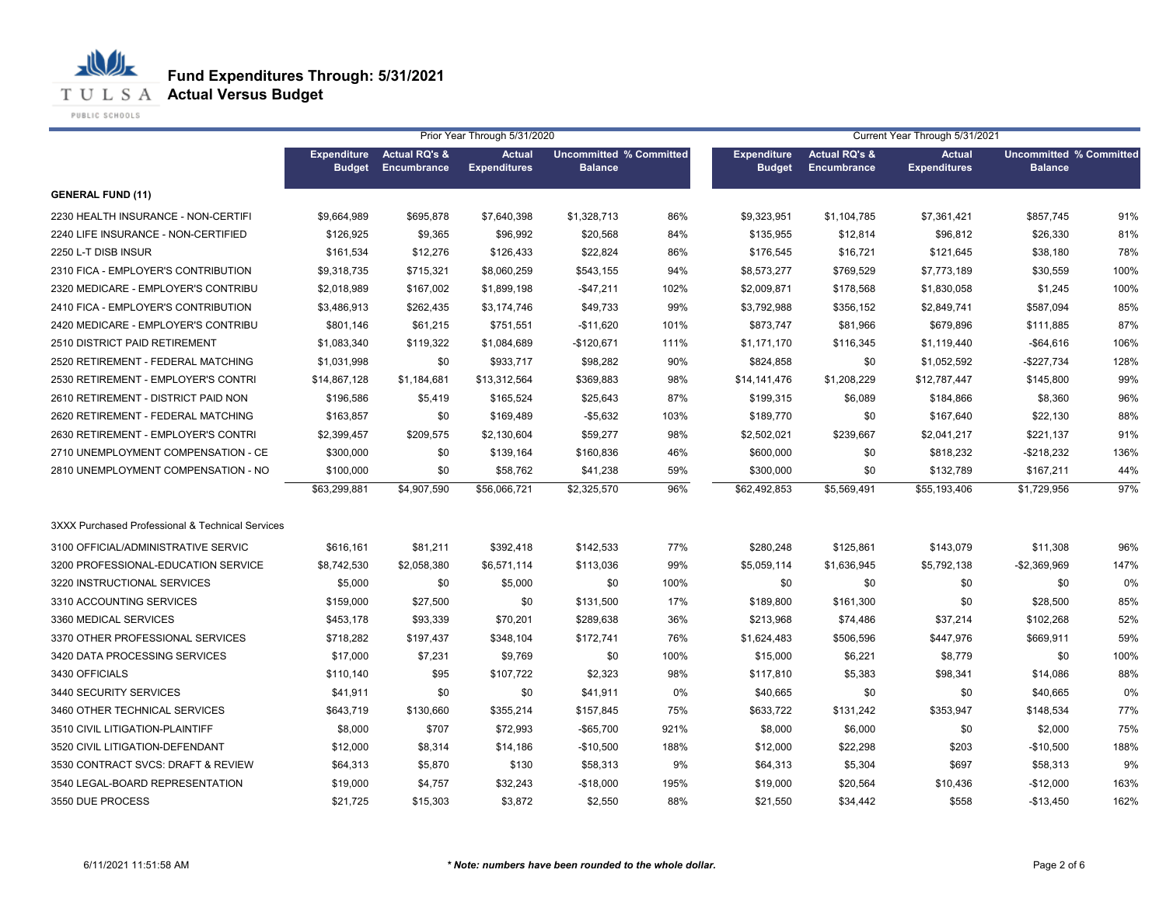**T U L S A Actual Versus Budget** 

PUBLIC SCHOOLS

|                                                  | Prior Year Through 5/31/2020<br>Current Year Through 5/31/2021 |                                         |                                      |                                                  |      |                                     |                                                |                                      |                                                  |      |
|--------------------------------------------------|----------------------------------------------------------------|-----------------------------------------|--------------------------------------|--------------------------------------------------|------|-------------------------------------|------------------------------------------------|--------------------------------------|--------------------------------------------------|------|
|                                                  | <b>Expenditure</b><br><b>Budget</b>                            | <b>Actual RQ's &amp;</b><br>Encumbrance | <b>Actual</b><br><b>Expenditures</b> | <b>Uncommitted % Committed</b><br><b>Balance</b> |      | <b>Expenditure</b><br><b>Budget</b> | <b>Actual RQ's &amp;</b><br><b>Encumbrance</b> | <b>Actual</b><br><b>Expenditures</b> | <b>Uncommitted % Committed</b><br><b>Balance</b> |      |
| <b>GENERAL FUND (11)</b>                         |                                                                |                                         |                                      |                                                  |      |                                     |                                                |                                      |                                                  |      |
| 2230 HEALTH INSURANCE - NON-CERTIFI              | \$9,664,989                                                    | \$695,878                               | \$7,640,398                          | \$1,328,713                                      | 86%  | \$9,323,951                         | \$1,104,785                                    | \$7,361,421                          | \$857,745                                        | 91%  |
| 2240 LIFE INSURANCE - NON-CERTIFIED              | \$126,925                                                      | \$9,365                                 | \$96,992                             | \$20,568                                         | 84%  | \$135,955                           | \$12,814                                       | \$96,812                             | \$26,330                                         | 81%  |
| 2250 L-T DISB INSUR                              | \$161,534                                                      | \$12,276                                | \$126,433                            | \$22,824                                         | 86%  | \$176,545                           | \$16,721                                       | \$121,645                            | \$38,180                                         | 78%  |
| 2310 FICA - EMPLOYER'S CONTRIBUTION              | \$9,318,735                                                    | \$715,321                               | \$8,060,259                          | \$543,155                                        | 94%  | \$8,573,277                         | \$769,529                                      | \$7,773,189                          | \$30,559                                         | 100% |
| 2320 MEDICARE - EMPLOYER'S CONTRIBU              | \$2,018,989                                                    | \$167,002                               | \$1,899,198                          | $-$47,211$                                       | 102% | \$2,009,871                         | \$178,568                                      | \$1,830,058                          | \$1,245                                          | 100% |
| 2410 FICA - EMPLOYER'S CONTRIBUTION              | \$3,486,913                                                    | \$262,435                               | \$3,174,746                          | \$49,733                                         | 99%  | \$3,792,988                         | \$356,152                                      | \$2,849,741                          | \$587,094                                        | 85%  |
| 2420 MEDICARE - EMPLOYER'S CONTRIBU              | \$801.146                                                      | \$61,215                                | \$751,551                            | $-$11,620$                                       | 101% | \$873,747                           | \$81,966                                       | \$679,896                            | \$111,885                                        | 87%  |
| 2510 DISTRICT PAID RETIREMENT                    | \$1,083,340                                                    | \$119,322                               | \$1,084,689                          | $-$120,671$                                      | 111% | \$1,171,170                         | \$116,345                                      | \$1,119,440                          | $-$64,616$                                       | 106% |
| 2520 RETIREMENT - FEDERAL MATCHING               | \$1,031,998                                                    | \$0                                     | \$933,717                            | \$98,282                                         | 90%  | \$824,858                           | \$0                                            | \$1,052,592                          | $-$227,734$                                      | 128% |
| 2530 RETIREMENT - EMPLOYER'S CONTRI              | \$14,867,128                                                   | \$1,184,681                             | \$13,312,564                         | \$369,883                                        | 98%  | \$14,141,476                        | \$1,208,229                                    | \$12,787,447                         | \$145,800                                        | 99%  |
| 2610 RETIREMENT - DISTRICT PAID NON              | \$196,586                                                      | \$5,419                                 | \$165,524                            | \$25,643                                         | 87%  | \$199,315                           | \$6,089                                        | \$184,866                            | \$8,360                                          | 96%  |
| 2620 RETIREMENT - FEDERAL MATCHING               | \$163,857                                                      | \$0                                     | \$169,489                            | $-$5,632$                                        | 103% | \$189,770                           | \$0                                            | \$167,640                            | \$22,130                                         | 88%  |
| 2630 RETIREMENT - EMPLOYER'S CONTRI              | \$2,399,457                                                    | \$209,575                               | \$2,130,604                          | \$59,277                                         | 98%  | \$2,502,021                         | \$239,667                                      | \$2,041,217                          | \$221,137                                        | 91%  |
| 2710 UNEMPLOYMENT COMPENSATION - CE              | \$300,000                                                      | \$0                                     | \$139,164                            | \$160,836                                        | 46%  | \$600,000                           | \$0                                            | \$818,232                            | $-$218,232$                                      | 136% |
| 2810 UNEMPLOYMENT COMPENSATION - NO              | \$100,000                                                      | \$0                                     | \$58,762                             | \$41,238                                         | 59%  | \$300,000                           | \$0                                            | \$132,789                            | \$167,211                                        | 44%  |
|                                                  | \$63,299,881                                                   | \$4,907,590                             | \$56,066,721                         | \$2,325,570                                      | 96%  | \$62,492,853                        | \$5,569,491                                    | \$55,193,406                         | \$1,729,956                                      | 97%  |
| 3XXX Purchased Professional & Technical Services |                                                                |                                         |                                      |                                                  |      |                                     |                                                |                                      |                                                  |      |
| 3100 OFFICIAL/ADMINISTRATIVE SERVIC              | \$616,161                                                      | \$81,211                                | \$392,418                            | \$142,533                                        | 77%  | \$280,248                           | \$125,861                                      | \$143,079                            | \$11,308                                         | 96%  |
| 3200 PROFESSIONAL-EDUCATION SERVICE              | \$8,742,530                                                    | \$2,058,380                             | \$6,571,114                          | \$113,036                                        | 99%  | \$5,059,114                         | \$1,636,945                                    | \$5,792,138                          | $-$2,369,969$                                    | 147% |
| 3220 INSTRUCTIONAL SERVICES                      | \$5,000                                                        | \$0                                     | \$5,000                              | \$0                                              | 100% | \$0                                 | \$0                                            | \$0                                  | \$0                                              | 0%   |
| 3310 ACCOUNTING SERVICES                         | \$159,000                                                      | \$27,500                                | \$0                                  | \$131,500                                        | 17%  | \$189,800                           | \$161,300                                      | \$0                                  | \$28,500                                         | 85%  |
| 3360 MEDICAL SERVICES                            | \$453,178                                                      | \$93,339                                | \$70,201                             | \$289,638                                        | 36%  | \$213,968                           | \$74,486                                       | \$37,214                             | \$102,268                                        | 52%  |
| 3370 OTHER PROFESSIONAL SERVICES                 | \$718,282                                                      | \$197,437                               | \$348,104                            | \$172,741                                        | 76%  | \$1,624,483                         | \$506,596                                      | \$447,976                            | \$669,911                                        | 59%  |
| 3420 DATA PROCESSING SERVICES                    | \$17,000                                                       | \$7,231                                 | \$9,769                              | \$0                                              | 100% | \$15,000                            | \$6,221                                        | \$8,779                              | \$0                                              | 100% |
| 3430 OFFICIALS                                   | \$110,140                                                      | \$95                                    | \$107,722                            | \$2,323                                          | 98%  | \$117,810                           | \$5,383                                        | \$98,341                             | \$14,086                                         | 88%  |
| 3440 SECURITY SERVICES                           | \$41,911                                                       | \$0                                     | \$0                                  | \$41,911                                         | 0%   | \$40,665                            | \$0                                            | \$0                                  | \$40,665                                         | 0%   |
| 3460 OTHER TECHNICAL SERVICES                    | \$643,719                                                      | \$130,660                               | \$355,214                            | \$157,845                                        | 75%  | \$633,722                           | \$131,242                                      | \$353,947                            | \$148,534                                        | 77%  |
| 3510 CIVIL LITIGATION-PLAINTIFF                  | \$8,000                                                        | \$707                                   | \$72,993                             | $-$ \$65,700                                     | 921% | \$8,000                             | \$6,000                                        | \$0                                  | \$2,000                                          | 75%  |
| 3520 CIVIL LITIGATION-DEFENDANT                  | \$12,000                                                       | \$8,314                                 | \$14,186                             | $-$10,500$                                       | 188% | \$12,000                            | \$22,298                                       | \$203                                | $-$10,500$                                       | 188% |
| 3530 CONTRACT SVCS: DRAFT & REVIEW               | \$64,313                                                       | \$5,870                                 | \$130                                | \$58,313                                         | 9%   | \$64,313                            | \$5,304                                        | \$697                                | \$58,313                                         | 9%   |
| 3540 LEGAL-BOARD REPRESENTATION                  | \$19,000                                                       | \$4,757                                 | \$32,243                             | $-$18,000$                                       | 195% | \$19,000                            | \$20,564                                       | \$10,436                             | $-$12,000$                                       | 163% |
| 3550 DUE PROCESS                                 | \$21,725                                                       | \$15,303                                | \$3,872                              | \$2,550                                          | 88%  | \$21,550                            | \$34,442                                       | \$558                                | $-$13,450$                                       | 162% |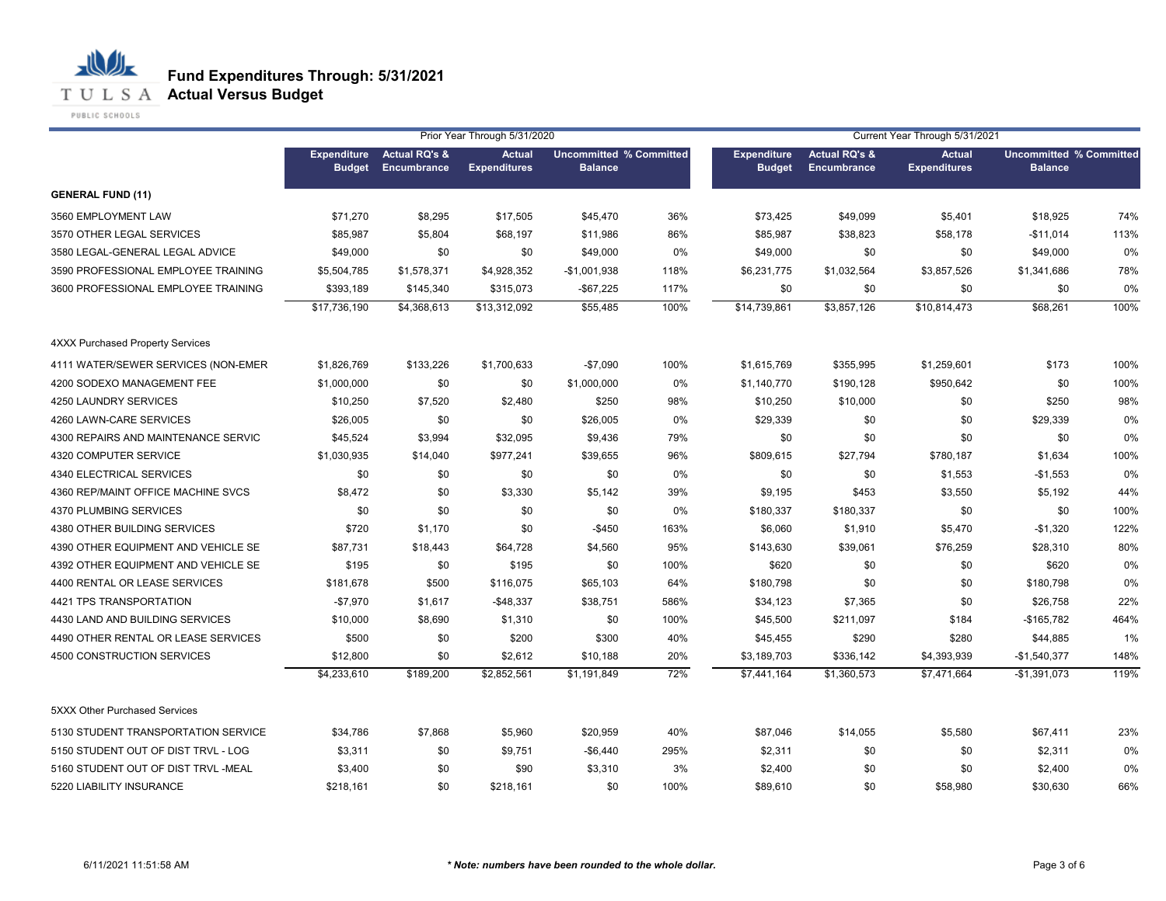**T U L S A Actual Versus Budget** 

PUBLIC SCHOOLS

|                                      |                                     |                                         | Prior Year Through 5/31/2020         |                                                  |      | Current Year Through 5/31/2021      |                                                |                                      |                                                  |      |  |
|--------------------------------------|-------------------------------------|-----------------------------------------|--------------------------------------|--------------------------------------------------|------|-------------------------------------|------------------------------------------------|--------------------------------------|--------------------------------------------------|------|--|
|                                      | <b>Expenditure</b><br><b>Budget</b> | <b>Actual RQ's &amp;</b><br>Encumbrance | <b>Actual</b><br><b>Expenditures</b> | <b>Uncommitted % Committed</b><br><b>Balance</b> |      | <b>Expenditure</b><br><b>Budget</b> | <b>Actual RQ's &amp;</b><br><b>Encumbrance</b> | <b>Actual</b><br><b>Expenditures</b> | <b>Uncommitted % Committed</b><br><b>Balance</b> |      |  |
| <b>GENERAL FUND (11)</b>             |                                     |                                         |                                      |                                                  |      |                                     |                                                |                                      |                                                  |      |  |
| 3560 EMPLOYMENT LAW                  | \$71,270                            | \$8,295                                 | \$17,505                             | \$45,470                                         | 36%  | \$73,425                            | \$49,099                                       | \$5,401                              | \$18,925                                         | 74%  |  |
| 3570 OTHER LEGAL SERVICES            | \$85,987                            | \$5,804                                 | \$68,197                             | \$11,986                                         | 86%  | \$85,987                            | \$38,823                                       | \$58,178                             | $-$11,014$                                       | 113% |  |
| 3580 LEGAL-GENERAL LEGAL ADVICE      | \$49,000                            | \$0                                     | \$0                                  | \$49,000                                         | 0%   | \$49,000                            | \$0                                            | \$0                                  | \$49,000                                         | 0%   |  |
| 3590 PROFESSIONAL EMPLOYEE TRAINING  | \$5,504,785                         | \$1,578,371                             | \$4,928,352                          | $-$1,001,938$                                    | 118% | \$6,231,775                         | \$1,032,564                                    | \$3,857,526                          | \$1,341,686                                      | 78%  |  |
| 3600 PROFESSIONAL EMPLOYEE TRAINING  | \$393,189                           | \$145,340                               | \$315,073                            | $-$67,225$                                       | 117% | \$0                                 | \$0                                            | \$0                                  | \$0                                              | 0%   |  |
|                                      | \$17,736,190                        | \$4,368,613                             | \$13,312,092                         | \$55,485                                         | 100% | \$14,739,861                        | \$3,857,126                                    | \$10,814,473                         | \$68,261                                         | 100% |  |
| 4XXX Purchased Property Services     |                                     |                                         |                                      |                                                  |      |                                     |                                                |                                      |                                                  |      |  |
| 4111 WATER/SEWER SERVICES (NON-EMER  | \$1,826,769                         | \$133,226                               | \$1,700,633                          | $-$7,090$                                        | 100% | \$1,615,769                         | \$355,995                                      | \$1,259,601                          | \$173                                            | 100% |  |
| 4200 SODEXO MANAGEMENT FEE           | \$1,000,000                         | \$0                                     | \$0                                  | \$1,000,000                                      | 0%   | \$1,140,770                         | \$190,128                                      | \$950,642                            | \$0                                              | 100% |  |
| 4250 LAUNDRY SERVICES                | \$10,250                            | \$7,520                                 | \$2,480                              | \$250                                            | 98%  | \$10,250                            | \$10,000                                       | \$0                                  | \$250                                            | 98%  |  |
| 4260 LAWN-CARE SERVICES              | \$26,005                            | \$0                                     | \$0                                  | \$26,005                                         | 0%   | \$29,339                            | \$0                                            | \$0                                  | \$29,339                                         | 0%   |  |
| 4300 REPAIRS AND MAINTENANCE SERVIC  | \$45,524                            | \$3,994                                 | \$32,095                             | \$9,436                                          | 79%  | \$0                                 | \$0                                            | \$0                                  | \$0                                              | 0%   |  |
| 4320 COMPUTER SERVICE                | \$1,030,935                         | \$14,040                                | \$977,241                            | \$39,655                                         | 96%  | \$809,615                           | \$27,794                                       | \$780,187                            | \$1,634                                          | 100% |  |
| 4340 ELECTRICAL SERVICES             | \$0                                 | \$0                                     | \$0                                  | \$0                                              | 0%   | \$0                                 | \$0                                            | \$1,553                              | $-$1,553$                                        | 0%   |  |
| 4360 REP/MAINT OFFICE MACHINE SVCS   | \$8,472                             | \$0                                     | \$3,330                              | \$5,142                                          | 39%  | \$9,195                             | \$453                                          | \$3,550                              | \$5,192                                          | 44%  |  |
| 4370 PLUMBING SERVICES               | \$0                                 | \$0                                     | \$0                                  | \$0                                              | 0%   | \$180,337                           | \$180,337                                      | \$0                                  | \$0                                              | 100% |  |
| 4380 OTHER BUILDING SERVICES         | \$720                               | \$1,170                                 | \$0                                  | $-$450$                                          | 163% | \$6,060                             | \$1,910                                        | \$5,470                              | $-$1,320$                                        | 122% |  |
| 4390 OTHER EQUIPMENT AND VEHICLE SE  | \$87,731                            | \$18,443                                | \$64,728                             | \$4,560                                          | 95%  | \$143,630                           | \$39,061                                       | \$76,259                             | \$28,310                                         | 80%  |  |
| 4392 OTHER EQUIPMENT AND VEHICLE SE  | \$195                               | \$0                                     | \$195                                | \$0                                              | 100% | \$620                               | \$0                                            | \$0                                  | \$620                                            | 0%   |  |
| 4400 RENTAL OR LEASE SERVICES        | \$181,678                           | \$500                                   | \$116,075                            | \$65,103                                         | 64%  | \$180,798                           | \$0                                            | \$0                                  | \$180,798                                        | 0%   |  |
| 4421 TPS TRANSPORTATION              | $-$7,970$                           | \$1,617                                 | $-$48,337$                           | \$38,751                                         | 586% | \$34,123                            | \$7,365                                        | \$0                                  | \$26,758                                         | 22%  |  |
| 4430 LAND AND BUILDING SERVICES      | \$10,000                            | \$8,690                                 | \$1,310                              | \$0                                              | 100% | \$45,500                            | \$211,097                                      | \$184                                | $-$165,782$                                      | 464% |  |
| 4490 OTHER RENTAL OR LEASE SERVICES  | \$500                               | \$0                                     | \$200                                | \$300                                            | 40%  | \$45,455                            | \$290                                          | \$280                                | \$44,885                                         | 1%   |  |
| 4500 CONSTRUCTION SERVICES           | \$12,800                            | \$0                                     | \$2,612                              | \$10,188                                         | 20%  | \$3,189,703                         | \$336,142                                      | \$4,393,939                          | $-$1,540,377$                                    | 148% |  |
|                                      | \$4,233,610                         | \$189,200                               | \$2,852,561                          | \$1,191,849                                      | 72%  | \$7,441,164                         | \$1,360,573                                    | \$7,471,664                          | $-$1,391,073$                                    | 119% |  |
| <b>5XXX Other Purchased Services</b> |                                     |                                         |                                      |                                                  |      |                                     |                                                |                                      |                                                  |      |  |
| 5130 STUDENT TRANSPORTATION SERVICE  | \$34,786                            | \$7,868                                 | \$5,960                              | \$20,959                                         | 40%  | \$87,046                            | \$14,055                                       | \$5,580                              | \$67,411                                         | 23%  |  |
| 5150 STUDENT OUT OF DIST TRVL - LOG  | \$3,311                             | \$0                                     | \$9,751                              | $-$6,440$                                        | 295% | \$2,311                             | \$0                                            | \$0                                  | \$2,311                                          | 0%   |  |
| 5160 STUDENT OUT OF DIST TRVL -MEAL  | \$3,400                             | \$0                                     | \$90                                 | \$3,310                                          | 3%   | \$2,400                             | \$0                                            | \$0                                  | \$2,400                                          | 0%   |  |
| 5220 LIABILITY INSURANCE             | \$218.161                           | \$0                                     | \$218,161                            | \$0                                              | 100% | \$89,610                            | \$0                                            | \$58,980                             | \$30.630                                         | 66%  |  |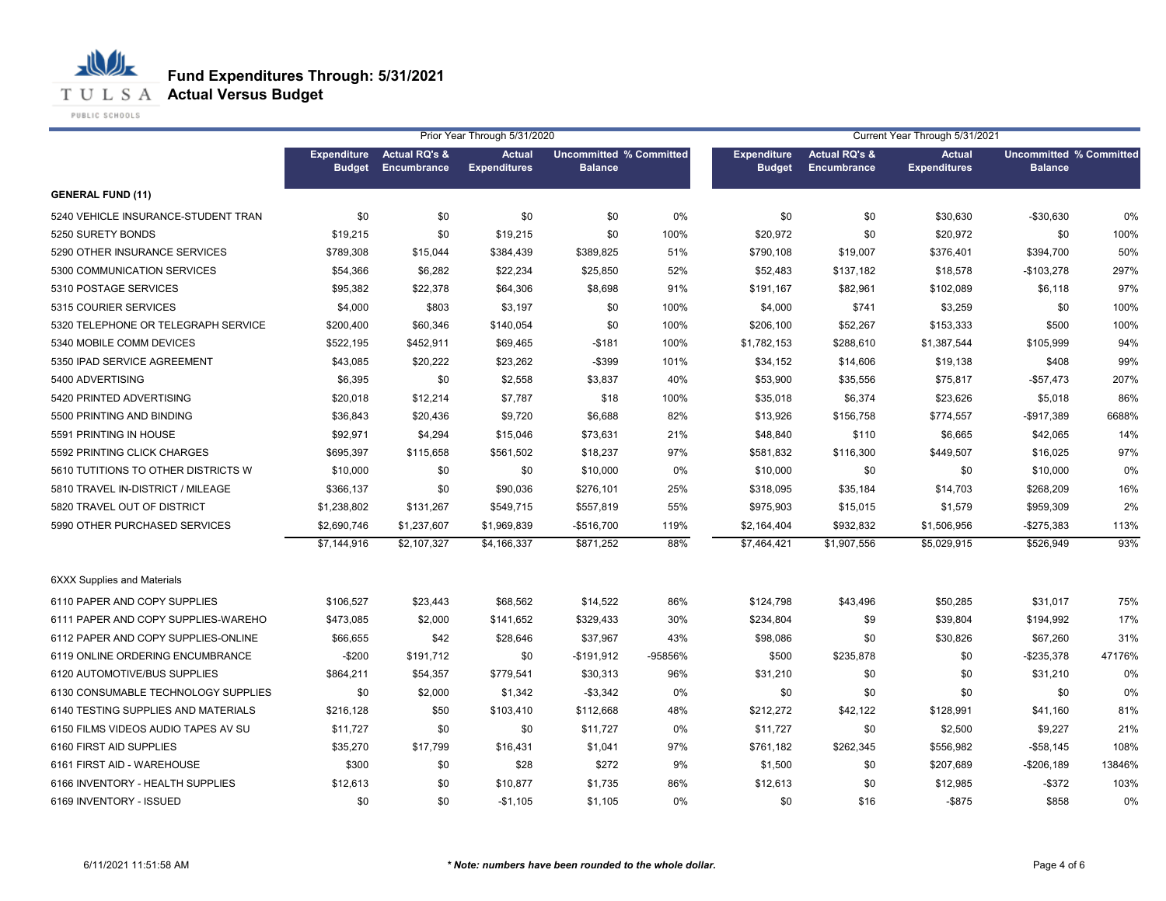**T U L S A Actual Versus Budget** 

PUBLIC SCHOOLS

|                                     | Prior Year Through 5/31/2020<br>Current Year Through 5/31/2021 |                          |                     |                                |         |                    |                          |                     |                                |        |
|-------------------------------------|----------------------------------------------------------------|--------------------------|---------------------|--------------------------------|---------|--------------------|--------------------------|---------------------|--------------------------------|--------|
|                                     | <b>Expenditure</b>                                             | <b>Actual RQ's &amp;</b> | <b>Actual</b>       | <b>Uncommitted % Committed</b> |         | <b>Expenditure</b> | <b>Actual RQ's &amp;</b> | <b>Actual</b>       | <b>Uncommitted % Committed</b> |        |
|                                     | <b>Budget</b>                                                  | Encumbrance              | <b>Expenditures</b> | <b>Balance</b>                 |         | <b>Budget</b>      | <b>Encumbrance</b>       | <b>Expenditures</b> | <b>Balance</b>                 |        |
| <b>GENERAL FUND (11)</b>            |                                                                |                          |                     |                                |         |                    |                          |                     |                                |        |
| 5240 VEHICLE INSURANCE-STUDENT TRAN | \$0                                                            | \$0                      | \$0                 | \$0                            | 0%      | \$0                | \$0                      | \$30,630            | $-$30,630$                     | 0%     |
| 5250 SURETY BONDS                   | \$19,215                                                       | \$0                      | \$19,215            | \$0                            | 100%    | \$20,972           | \$0                      | \$20,972            | \$0                            | 100%   |
| 5290 OTHER INSURANCE SERVICES       | \$789.308                                                      | \$15,044                 | \$384,439           | \$389,825                      | 51%     | \$790,108          | \$19,007                 | \$376,401           | \$394,700                      | 50%    |
| 5300 COMMUNICATION SERVICES         | \$54,366                                                       | \$6,282                  | \$22,234            | \$25,850                       | 52%     | \$52,483           | \$137,182                | \$18,578            | $-$103,278$                    | 297%   |
| 5310 POSTAGE SERVICES               | \$95,382                                                       | \$22,378                 | \$64,306            | \$8,698                        | 91%     | \$191,167          | \$82,961                 | \$102,089           | \$6,118                        | 97%    |
| 5315 COURIER SERVICES               | \$4,000                                                        | \$803                    | \$3,197             | \$0                            | 100%    | \$4,000            | \$741                    | \$3,259             | \$0                            | 100%   |
| 5320 TELEPHONE OR TELEGRAPH SERVICE | \$200,400                                                      | \$60,346                 | \$140,054           | \$0                            | 100%    | \$206,100          | \$52,267                 | \$153,333           | \$500                          | 100%   |
| 5340 MOBILE COMM DEVICES            | \$522,195                                                      | \$452,911                | \$69,465            | $-$181$                        | 100%    | \$1,782,153        | \$288,610                | \$1,387,544         | \$105,999                      | 94%    |
| 5350 IPAD SERVICE AGREEMENT         | \$43,085                                                       | \$20,222                 | \$23,262            | $-$ \$399                      | 101%    | \$34,152           | \$14,606                 | \$19,138            | \$408                          | 99%    |
| 5400 ADVERTISING                    | \$6,395                                                        | \$0                      | \$2,558             | \$3,837                        | 40%     | \$53,900           | \$35,556                 | \$75,817            | $-$57,473$                     | 207%   |
| 5420 PRINTED ADVERTISING            | \$20,018                                                       | \$12,214                 | \$7,787             | \$18                           | 100%    | \$35,018           | \$6,374                  | \$23,626            | \$5,018                        | 86%    |
| 5500 PRINTING AND BINDING           | \$36,843                                                       | \$20,436                 | \$9,720             | \$6,688                        | 82%     | \$13,926           | \$156,758                | \$774,557           | -\$917,389                     | 6688%  |
| 5591 PRINTING IN HOUSE              | \$92,971                                                       | \$4,294                  | \$15,046            | \$73,631                       | 21%     | \$48,840           | \$110                    | \$6,665             | \$42,065                       | 14%    |
| 5592 PRINTING CLICK CHARGES         | \$695,397                                                      | \$115,658                | \$561,502           | \$18,237                       | 97%     | \$581,832          | \$116,300                | \$449,507           | \$16,025                       | 97%    |
| 5610 TUTITIONS TO OTHER DISTRICTS W | \$10,000                                                       | \$0                      | \$0                 | \$10,000                       | 0%      | \$10,000           | \$0                      | \$0                 | \$10,000                       | 0%     |
| 5810 TRAVEL IN-DISTRICT / MILEAGE   | \$366,137                                                      | \$0                      | \$90,036            | \$276,101                      | 25%     | \$318,095          | \$35,184                 | \$14,703            | \$268,209                      | 16%    |
| 5820 TRAVEL OUT OF DISTRICT         | \$1,238,802                                                    | \$131,267                | \$549,715           | \$557,819                      | 55%     | \$975,903          | \$15,015                 | \$1,579             | \$959,309                      | 2%     |
| 5990 OTHER PURCHASED SERVICES       | \$2,690,746                                                    | \$1,237,607              | \$1,969,839         | $-$516,700$                    | 119%    | \$2,164,404        | \$932,832                | \$1,506,956         | $-$275,383$                    | 113%   |
|                                     | \$7,144,916                                                    | \$2,107,327              | \$4,166,337         | \$871,252                      | 88%     | \$7,464,421        | \$1,907,556              | \$5,029,915         | \$526,949                      | 93%    |
| <b>6XXX Supplies and Materials</b>  |                                                                |                          |                     |                                |         |                    |                          |                     |                                |        |
| 6110 PAPER AND COPY SUPPLIES        | \$106,527                                                      | \$23,443                 | \$68,562            | \$14,522                       | 86%     | \$124,798          | \$43,496                 | \$50,285            | \$31,017                       | 75%    |
| 6111 PAPER AND COPY SUPPLIES-WAREHO | \$473,085                                                      | \$2,000                  | \$141,652           | \$329,433                      | 30%     | \$234,804          | \$9                      | \$39,804            | \$194,992                      | 17%    |
| 6112 PAPER AND COPY SUPPLIES-ONLINE | \$66,655                                                       | \$42                     | \$28,646            | \$37,967                       | 43%     | \$98,086           | \$0                      | \$30,826            | \$67,260                       | 31%    |
| 6119 ONLINE ORDERING ENCUMBRANCE    | $-$200$                                                        | \$191,712                | \$0                 | $-$191,912$                    | -95856% | \$500              | \$235,878                | \$0                 | $-$235,378$                    | 47176% |
| 6120 AUTOMOTIVE/BUS SUPPLIES        | \$864,211                                                      | \$54,357                 | \$779,541           | \$30,313                       | 96%     | \$31,210           | \$0                      | \$0                 | \$31,210                       | 0%     |
| 6130 CONSUMABLE TECHNOLOGY SUPPLIES | \$0                                                            | \$2,000                  | \$1,342             | $-$3,342$                      | 0%      | \$0                | \$0                      | \$0                 | \$0                            | 0%     |
| 6140 TESTING SUPPLIES AND MATERIALS | \$216,128                                                      | \$50                     | \$103,410           | \$112,668                      | 48%     | \$212,272          | \$42,122                 | \$128,991           | \$41,160                       | 81%    |
| 6150 FILMS VIDEOS AUDIO TAPES AV SU | \$11,727                                                       | \$0                      | \$0                 | \$11,727                       | 0%      | \$11,727           | \$0                      | \$2,500             | \$9,227                        | 21%    |
| 6160 FIRST AID SUPPLIES             | \$35,270                                                       | \$17,799                 | \$16,431            | \$1,041                        | 97%     | \$761,182          | \$262,345                | \$556,982           | $-$58,145$                     | 108%   |
| 6161 FIRST AID - WAREHOUSE          | \$300                                                          | \$0                      | \$28                | \$272                          | 9%      | \$1,500            | \$0                      | \$207,689           | $-$206,189$                    | 13846% |
| 6166 INVENTORY - HEALTH SUPPLIES    | \$12,613                                                       | \$0                      | \$10,877            | \$1,735                        | 86%     | \$12,613           | \$0                      | \$12,985            | $-$ \$372                      | 103%   |
| 6169 INVENTORY - ISSUED             | \$0                                                            | \$0                      | $-$1,105$           | \$1,105                        | 0%      | \$0                | \$16                     | $-$ \$875           | \$858                          | 0%     |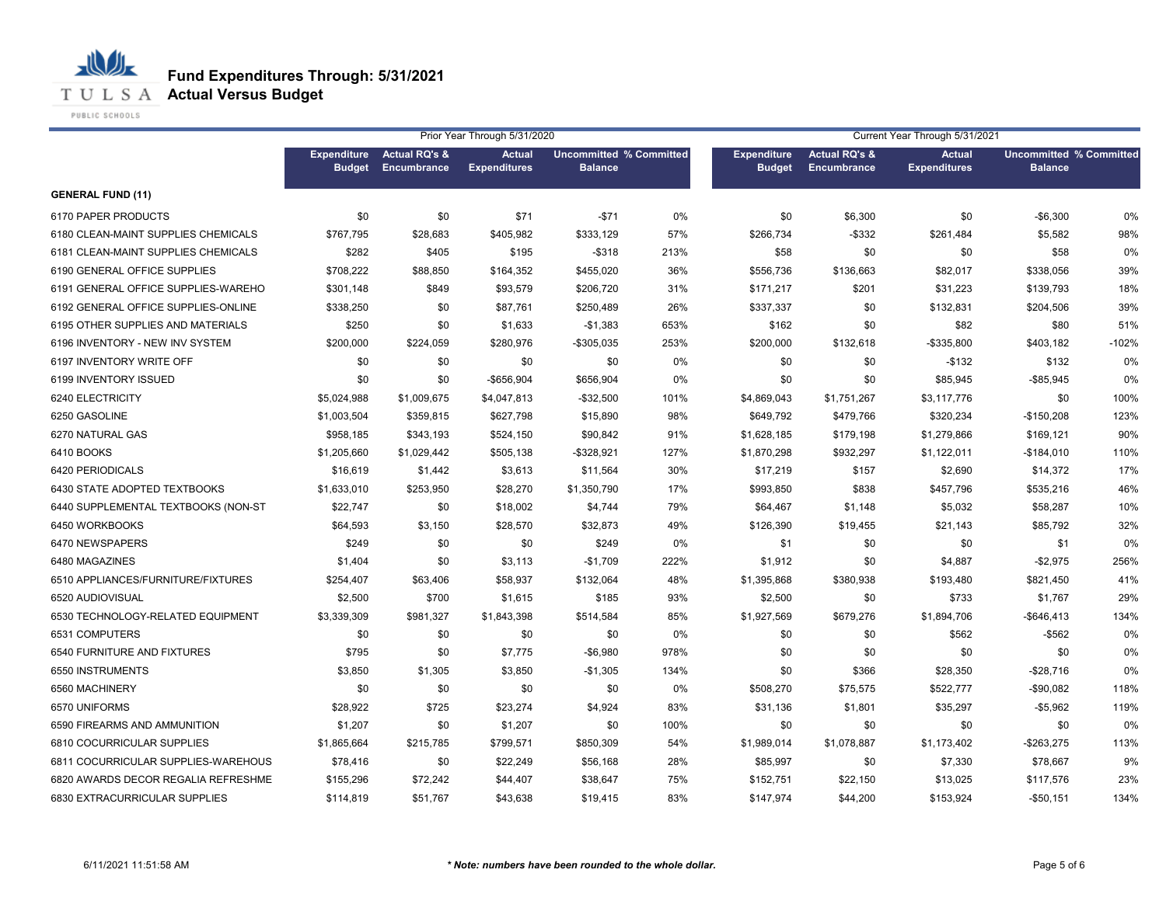**T U L S A Actual Versus Budget** 

PUBLIC SCHOOLS

|                                     | Prior Year Through 5/31/2020        |                                         |                                      |                                                  |       | Current Year Through 5/31/2021      |                                         |                                      |                                                  |         |
|-------------------------------------|-------------------------------------|-----------------------------------------|--------------------------------------|--------------------------------------------------|-------|-------------------------------------|-----------------------------------------|--------------------------------------|--------------------------------------------------|---------|
|                                     | <b>Expenditure</b><br><b>Budget</b> | <b>Actual RQ's &amp;</b><br>Encumbrance | <b>Actual</b><br><b>Expenditures</b> | <b>Uncommitted % Committed</b><br><b>Balance</b> |       | <b>Expenditure</b><br><b>Budget</b> | <b>Actual RQ's &amp;</b><br>Encumbrance | <b>Actual</b><br><b>Expenditures</b> | <b>Uncommitted % Committed</b><br><b>Balance</b> |         |
| <b>GENERAL FUND (11)</b>            |                                     |                                         |                                      |                                                  |       |                                     |                                         |                                      |                                                  |         |
| 6170 PAPER PRODUCTS                 | \$0                                 | \$0                                     | \$71                                 | $-$71$                                           | $0\%$ | \$0                                 | \$6,300                                 | \$0                                  | $-$6,300$                                        | 0%      |
| 6180 CLEAN-MAINT SUPPLIES CHEMICALS | \$767,795                           | \$28,683                                | \$405,982                            | \$333,129                                        | 57%   | \$266,734                           | $-$ \$332                               | \$261,484                            | \$5,582                                          | 98%     |
| 6181 CLEAN-MAINT SUPPLIES CHEMICALS | \$282                               | \$405                                   | \$195                                | $-$ \$318                                        | 213%  | \$58                                | \$0                                     | \$0                                  | \$58                                             | 0%      |
| 6190 GENERAL OFFICE SUPPLIES        | \$708,222                           | \$88,850                                | \$164,352                            | \$455,020                                        | 36%   | \$556,736                           | \$136,663                               | \$82,017                             | \$338,056                                        | 39%     |
| 6191 GENERAL OFFICE SUPPLIES-WAREHO | \$301,148                           | \$849                                   | \$93,579                             | \$206,720                                        | 31%   | \$171,217                           | \$201                                   | \$31,223                             | \$139,793                                        | 18%     |
| 6192 GENERAL OFFICE SUPPLIES-ONLINE | \$338,250                           | \$0                                     | \$87,761                             | \$250,489                                        | 26%   | \$337,337                           | \$0                                     | \$132,831                            | \$204,506                                        | 39%     |
| 6195 OTHER SUPPLIES AND MATERIALS   | \$250                               | \$0                                     | \$1,633                              | $-$1,383$                                        | 653%  | \$162                               | \$0                                     | \$82                                 | \$80                                             | 51%     |
| 6196 INVENTORY - NEW INV SYSTEM     | \$200,000                           | \$224,059                               | \$280,976                            | $-$305,035$                                      | 253%  | \$200,000                           | \$132,618                               | $-$335,800$                          | \$403,182                                        | $-102%$ |
| 6197 INVENTORY WRITE OFF            | \$0                                 | \$0                                     | \$0                                  | \$0                                              | 0%    | \$0                                 | \$0                                     | $-$132$                              | \$132                                            | 0%      |
| 6199 INVENTORY ISSUED               | \$0                                 | \$0                                     | -\$656,904                           | \$656,904                                        | 0%    | \$0                                 | \$0                                     | \$85,945                             | $-$ \$85,945                                     | 0%      |
| 6240 ELECTRICITY                    | \$5,024,988                         | \$1,009,675                             | \$4,047,813                          | $-$ \$32,500                                     | 101%  | \$4,869,043                         | \$1,751,267                             | \$3,117,776                          | \$0                                              | 100%    |
| 6250 GASOLINE                       | \$1,003,504                         | \$359,815                               | \$627,798                            | \$15,890                                         | 98%   | \$649,792                           | \$479,766                               | \$320,234                            | $-$150,208$                                      | 123%    |
| 6270 NATURAL GAS                    | \$958,185                           | \$343,193                               | \$524,150                            | \$90,842                                         | 91%   | \$1,628,185                         | \$179,198                               | \$1,279,866                          | \$169,121                                        | 90%     |
| 6410 BOOKS                          | \$1,205,660                         | \$1,029,442                             | \$505,138                            | $-$328,921$                                      | 127%  | \$1,870,298                         | \$932,297                               | \$1,122,011                          | $-$184,010$                                      | 110%    |
| 6420 PERIODICALS                    | \$16,619                            | \$1,442                                 | \$3,613                              | \$11,564                                         | 30%   | \$17,219                            | \$157                                   | \$2,690                              | \$14,372                                         | 17%     |
| 6430 STATE ADOPTED TEXTBOOKS        | \$1,633,010                         | \$253,950                               | \$28,270                             | \$1,350,790                                      | 17%   | \$993,850                           | \$838                                   | \$457,796                            | \$535,216                                        | 46%     |
| 6440 SUPPLEMENTAL TEXTBOOKS (NON-ST | \$22,747                            | \$0                                     | \$18,002                             | \$4,744                                          | 79%   | \$64,467                            | \$1,148                                 | \$5,032                              | \$58,287                                         | 10%     |
| 6450 WORKBOOKS                      | \$64,593                            | \$3,150                                 | \$28,570                             | \$32,873                                         | 49%   | \$126,390                           | \$19,455                                | \$21,143                             | \$85,792                                         | 32%     |
| 6470 NEWSPAPERS                     | \$249                               | \$0                                     | \$0                                  | \$249                                            | 0%    | \$1                                 | \$0                                     | \$0                                  | \$1                                              | 0%      |
| 6480 MAGAZINES                      | \$1,404                             | \$0                                     | \$3,113                              | $-$1,709$                                        | 222%  | \$1,912                             | \$0                                     | \$4,887                              | $-$2,975$                                        | 256%    |
| 6510 APPLIANCES/FURNITURE/FIXTURES  | \$254,407                           | \$63,406                                | \$58,937                             | \$132,064                                        | 48%   | \$1,395,868                         | \$380,938                               | \$193,480                            | \$821,450                                        | 41%     |
| 6520 AUDIOVISUAL                    | \$2,500                             | \$700                                   | \$1,615                              | \$185                                            | 93%   | \$2,500                             | \$0                                     | \$733                                | \$1,767                                          | 29%     |
| 6530 TECHNOLOGY-RELATED EQUIPMENT   | \$3,339,309                         | \$981,327                               | \$1,843,398                          | \$514,584                                        | 85%   | \$1,927,569                         | \$679,276                               | \$1,894,706                          | $-$646,413$                                      | 134%    |
| 6531 COMPUTERS                      | \$0                                 | \$0                                     | \$0                                  | \$0                                              | 0%    | \$0                                 | \$0                                     | \$562                                | $-$ \$562                                        | 0%      |
| 6540 FURNITURE AND FIXTURES         | \$795                               | \$0                                     | \$7,775                              | $-$6,980$                                        | 978%  | \$0                                 | \$0                                     | \$0                                  | \$0                                              | 0%      |
| 6550 INSTRUMENTS                    | \$3,850                             | \$1,305                                 | \$3,850                              | $-$1,305$                                        | 134%  | \$0                                 | \$366                                   | \$28,350                             | $-$28,716$                                       | 0%      |
| 6560 MACHINERY                      | \$0                                 | \$0                                     | \$0                                  | \$0                                              | 0%    | \$508,270                           | \$75,575                                | \$522,777                            | $-$90,082$                                       | 118%    |
| 6570 UNIFORMS                       | \$28,922                            | \$725                                   | \$23,274                             | \$4,924                                          | 83%   | \$31,136                            | \$1,801                                 | \$35,297                             | $-$5,962$                                        | 119%    |
| 6590 FIREARMS AND AMMUNITION        | \$1,207                             | \$0                                     | \$1,207                              | \$0                                              | 100%  | \$0                                 | \$0                                     | \$0                                  | \$0                                              | 0%      |
| 6810 COCURRICULAR SUPPLIES          | \$1,865,664                         | \$215,785                               | \$799,571                            | \$850,309                                        | 54%   | \$1,989,014                         | \$1,078,887                             | \$1,173,402                          | $-$263,275$                                      | 113%    |
| 6811 COCURRICULAR SUPPLIES-WAREHOUS | \$78,416                            | \$0                                     | \$22,249                             | \$56,168                                         | 28%   | \$85,997                            | \$0                                     | \$7,330                              | \$78,667                                         | 9%      |
| 6820 AWARDS DECOR REGALIA REFRESHME | \$155,296                           | \$72,242                                | \$44,407                             | \$38,647                                         | 75%   | \$152,751                           | \$22,150                                | \$13,025                             | \$117,576                                        | 23%     |
| 6830 EXTRACURRICULAR SUPPLIES       | \$114,819                           | \$51,767                                | \$43,638                             | \$19,415                                         | 83%   | \$147,974                           | \$44,200                                | \$153,924                            | $-$50,151$                                       | 134%    |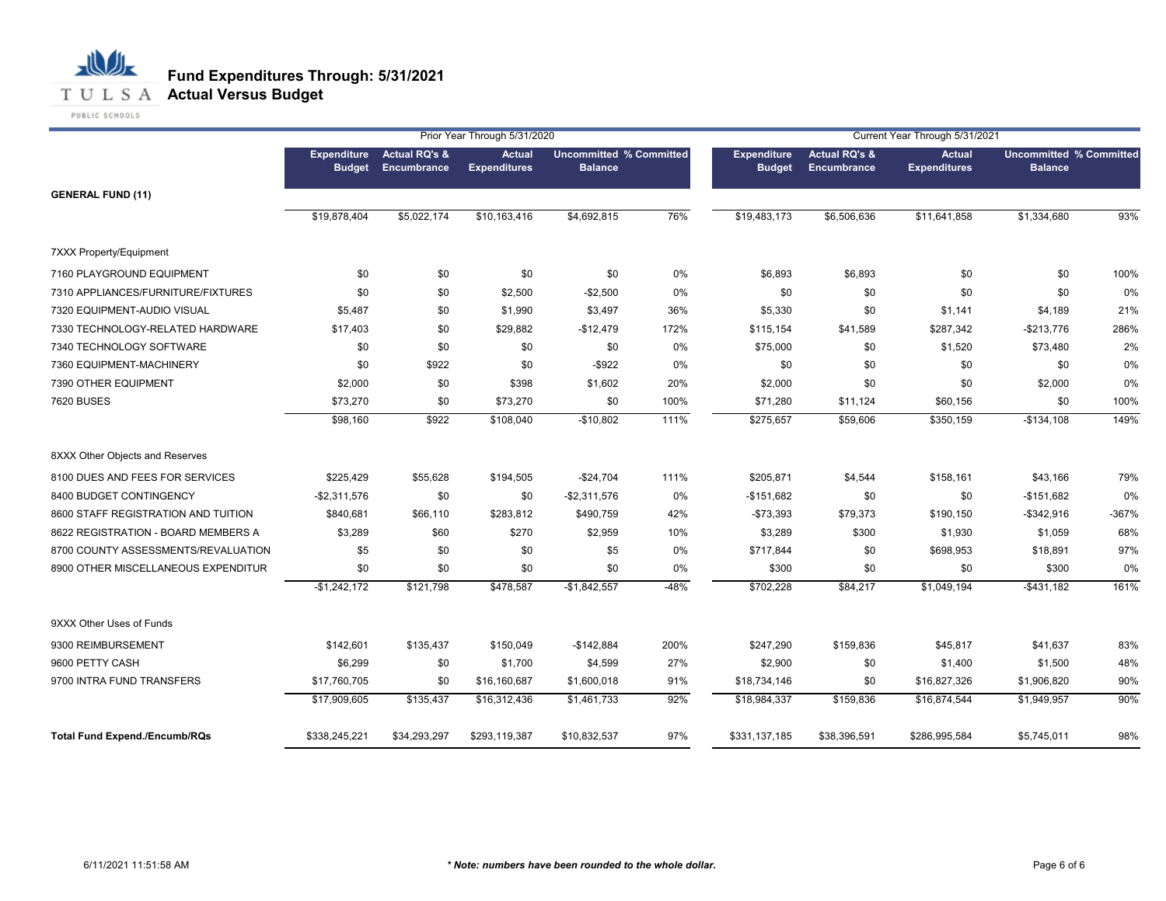

|                                      |                                     |                                         | Prior Year Through 5/31/2020         |                                                  |        | Current Year Through 5/31/2021      |                                         |                                      |                                                  |         |  |
|--------------------------------------|-------------------------------------|-----------------------------------------|--------------------------------------|--------------------------------------------------|--------|-------------------------------------|-----------------------------------------|--------------------------------------|--------------------------------------------------|---------|--|
|                                      | <b>Expenditure</b><br><b>Budget</b> | <b>Actual RQ's &amp;</b><br>Encumbrance | <b>Actual</b><br><b>Expenditures</b> | <b>Uncommitted % Committed</b><br><b>Balance</b> |        | <b>Expenditure</b><br><b>Budget</b> | <b>Actual RQ's &amp;</b><br>Encumbrance | <b>Actual</b><br><b>Expenditures</b> | <b>Uncommitted % Committed</b><br><b>Balance</b> |         |  |
| <b>GENERAL FUND (11)</b>             |                                     |                                         |                                      |                                                  |        |                                     |                                         |                                      |                                                  |         |  |
|                                      | \$19,878,404                        | \$5,022,174                             | \$10,163,416                         | \$4,692,815                                      | 76%    | \$19,483,173                        | \$6,506,636                             | \$11,641,858                         | \$1,334,680                                      | 93%     |  |
| <b>7XXX Property/Equipment</b>       |                                     |                                         |                                      |                                                  |        |                                     |                                         |                                      |                                                  |         |  |
| 7160 PLAYGROUND EQUIPMENT            | \$0                                 | \$0                                     | \$0                                  | \$0                                              | 0%     | \$6,893                             | \$6,893                                 | \$0                                  | \$0                                              | 100%    |  |
| 7310 APPLIANCES/FURNITURE/FIXTURES   | \$0                                 | \$0                                     | \$2,500                              | $-$2,500$                                        | 0%     | \$0                                 | \$0                                     | \$0                                  | \$0                                              | 0%      |  |
| 7320 EQUIPMENT-AUDIO VISUAL          | \$5,487                             | \$0                                     | \$1,990                              | \$3,497                                          | 36%    | \$5,330                             | \$0                                     | \$1,141                              | \$4,189                                          | 21%     |  |
| 7330 TECHNOLOGY-RELATED HARDWARE     | \$17,403                            | \$0                                     | \$29,882                             | $-$12,479$                                       | 172%   | \$115,154                           | \$41,589                                | \$287,342                            | $-$213,776$                                      | 286%    |  |
| 7340 TECHNOLOGY SOFTWARE             | \$0                                 | \$0                                     | \$0                                  | \$0                                              | 0%     | \$75,000                            | \$0                                     | \$1,520                              | \$73,480                                         | 2%      |  |
| 7360 EQUIPMENT-MACHINERY             | \$0                                 | \$922                                   | \$0                                  | $-$ \$922                                        | 0%     | \$0                                 | \$0                                     | \$0                                  | \$0                                              | 0%      |  |
| 7390 OTHER EQUIPMENT                 | \$2,000                             | \$0                                     | \$398                                | \$1,602                                          | 20%    | \$2,000                             | \$0                                     | \$0                                  | \$2,000                                          | 0%      |  |
| 7620 BUSES                           | \$73,270                            | \$0                                     | \$73,270                             | \$0                                              | 100%   | \$71,280                            | \$11,124                                | \$60,156                             | \$0                                              | 100%    |  |
|                                      | \$98,160                            | \$922                                   | \$108,040                            | $-$10,802$                                       | 111%   | \$275,657                           | \$59,606                                | \$350,159                            | $-$134,108$                                      | 149%    |  |
| 8XXX Other Objects and Reserves      |                                     |                                         |                                      |                                                  |        |                                     |                                         |                                      |                                                  |         |  |
| 8100 DUES AND FEES FOR SERVICES      | \$225,429                           | \$55,628                                | \$194,505                            | $-$24,704$                                       | 111%   | \$205,871                           | \$4,544                                 | \$158,161                            | \$43,166                                         | 79%     |  |
| 8400 BUDGET CONTINGENCY              | $-$2,311,576$                       | \$0                                     | \$0                                  | -\$2,311,576                                     | 0%     | $-$151,682$                         | \$0                                     | \$0                                  | $-$151,682$                                      | 0%      |  |
| 8600 STAFF REGISTRATION AND TUITION  | \$840,681                           | \$66,110                                | \$283,812                            | \$490,759                                        | 42%    | $-$73,393$                          | \$79,373                                | \$190,150                            | $-$ \$342,916                                    | $-367%$ |  |
| 8622 REGISTRATION - BOARD MEMBERS A  | \$3,289                             | \$60                                    | \$270                                | \$2,959                                          | 10%    | \$3,289                             | \$300                                   | \$1,930                              | \$1,059                                          | 68%     |  |
| 8700 COUNTY ASSESSMENTS/REVALUATION  | \$5                                 | \$0                                     | \$0                                  | \$5                                              | 0%     | \$717,844                           | \$0                                     | \$698,953                            | \$18,891                                         | 97%     |  |
| 8900 OTHER MISCELLANEOUS EXPENDITUR  | \$0                                 | \$0                                     | \$0                                  | \$0                                              | 0%     | \$300                               | \$0                                     | \$0                                  | \$300                                            | 0%      |  |
|                                      | $-$1,242,172$                       | \$121,798                               | \$478,587                            | $-$1,842,557$                                    | $-48%$ | \$702,228                           | \$84,217                                | \$1,049,194                          | $-$431,182$                                      | 161%    |  |
| 9XXX Other Uses of Funds             |                                     |                                         |                                      |                                                  |        |                                     |                                         |                                      |                                                  |         |  |
| 9300 REIMBURSEMENT                   | \$142,601                           | \$135,437                               | \$150,049                            | $-$142,884$                                      | 200%   | \$247,290                           | \$159,836                               | \$45,817                             | \$41,637                                         | 83%     |  |
| 9600 PETTY CASH                      | \$6,299                             | \$0                                     | \$1,700                              | \$4,599                                          | 27%    | \$2,900                             | \$0                                     | \$1,400                              | \$1,500                                          | 48%     |  |
| 9700 INTRA FUND TRANSFERS            | \$17,760,705                        | \$0                                     | \$16,160,687                         | \$1,600,018                                      | 91%    | \$18,734,146                        | \$0                                     | \$16,827,326                         | \$1,906,820                                      | 90%     |  |
|                                      | \$17,909,605                        | \$135,437                               | \$16,312,436                         | \$1,461,733                                      | 92%    | \$18,984,337                        | \$159,836                               | \$16,874,544                         | \$1,949,957                                      | 90%     |  |
| <b>Total Fund Expend./Encumb/RQs</b> | \$338,245,221                       | \$34,293,297                            | \$293,119,387                        | \$10,832,537                                     | 97%    | \$331,137,185                       | \$38,396,591                            | \$286,995,584                        | \$5,745,011                                      | 98%     |  |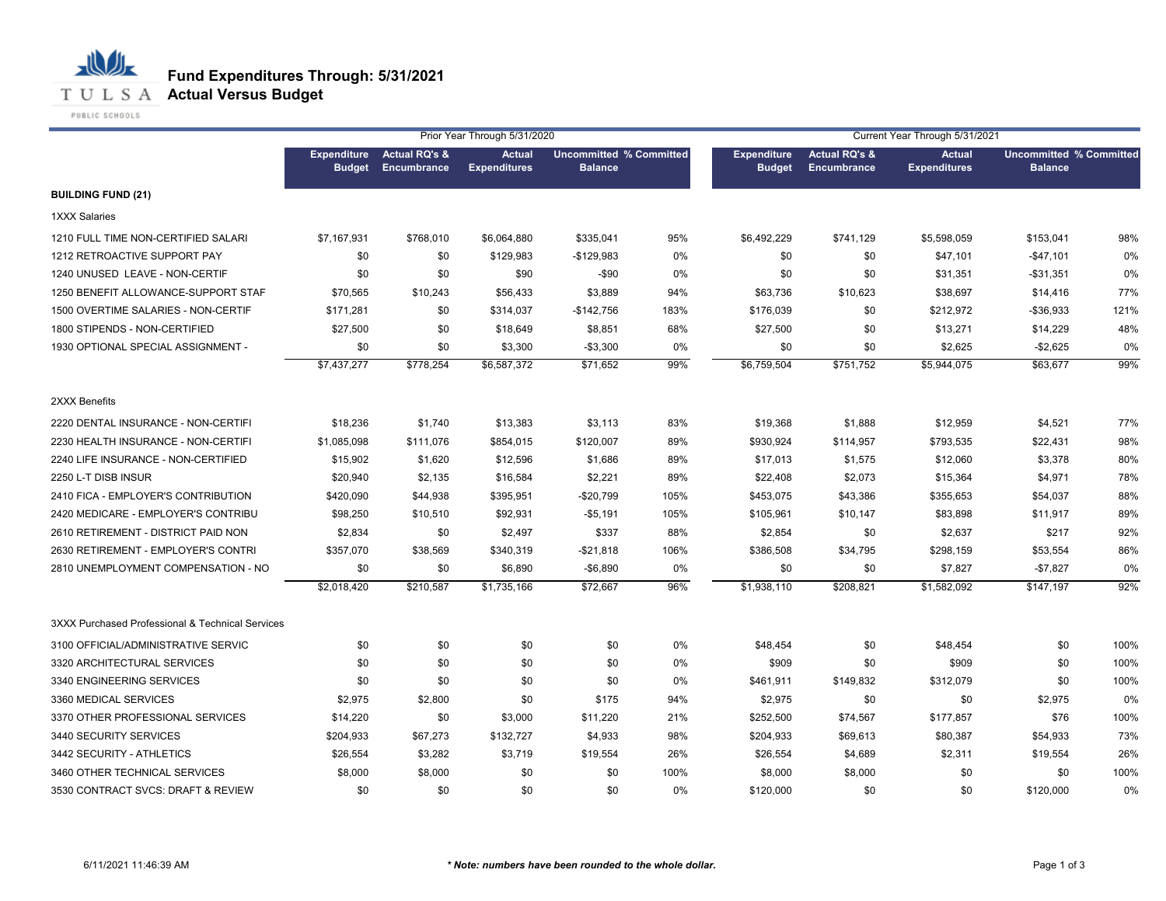

| Prior Year Through 5/31/2020                     |                                     |                                                |                                      |                                                  |      | Current Year Through 5/31/2021      |                                                |                                      |                                                  |      |
|--------------------------------------------------|-------------------------------------|------------------------------------------------|--------------------------------------|--------------------------------------------------|------|-------------------------------------|------------------------------------------------|--------------------------------------|--------------------------------------------------|------|
|                                                  | <b>Expenditure</b><br><b>Budget</b> | <b>Actual RQ's &amp;</b><br><b>Encumbrance</b> | <b>Actual</b><br><b>Expenditures</b> | <b>Uncommitted % Committed</b><br><b>Balance</b> |      | <b>Expenditure</b><br><b>Budget</b> | <b>Actual RQ's &amp;</b><br><b>Encumbrance</b> | <b>Actual</b><br><b>Expenditures</b> | <b>Uncommitted % Committed</b><br><b>Balance</b> |      |
| <b>BUILDING FUND (21)</b>                        |                                     |                                                |                                      |                                                  |      |                                     |                                                |                                      |                                                  |      |
| 1XXX Salaries                                    |                                     |                                                |                                      |                                                  |      |                                     |                                                |                                      |                                                  |      |
| 1210 FULL TIME NON-CERTIFIED SALARI              | \$7,167,931                         | \$768,010                                      | \$6,064,880                          | \$335,041                                        | 95%  | \$6,492,229                         | \$741,129                                      | \$5,598,059                          | \$153,041                                        | 98%  |
| 1212 RETROACTIVE SUPPORT PAY                     | \$0                                 | \$0                                            | \$129,983                            | $-$129,983$                                      | 0%   | \$0                                 | \$0                                            | \$47,101                             | $-$47,101$                                       | 0%   |
| 1240 UNUSED LEAVE - NON-CERTIF                   | \$0                                 | \$0                                            | \$90                                 | $-$ \$90                                         | 0%   | \$0                                 | \$0                                            | \$31,351                             | $-$31,351$                                       | 0%   |
| 1250 BENEFIT ALLOWANCE-SUPPORT STAF              | \$70,565                            | \$10,243                                       | \$56,433                             | \$3,889                                          | 94%  | \$63,736                            | \$10,623                                       | \$38,697                             | \$14,416                                         | 77%  |
| 1500 OVERTIME SALARIES - NON-CERTIF              | \$171,281                           | \$0                                            | \$314,037                            | $-$142,756$                                      | 183% | \$176,039                           | \$0                                            | \$212,972                            | $-$36,933$                                       | 121% |
| 1800 STIPENDS - NON-CERTIFIED                    | \$27,500                            | \$0                                            | \$18,649                             | \$8,851                                          | 68%  | \$27,500                            | \$0                                            | \$13,271                             | \$14,229                                         | 48%  |
| 1930 OPTIONAL SPECIAL ASSIGNMENT -               | \$0                                 | \$0                                            | \$3,300                              | $-$3,300$                                        | 0%   | \$0                                 | \$0                                            | \$2,625                              | $-$2,625$                                        | 0%   |
|                                                  | \$7,437,277                         | \$778,254                                      | \$6,587,372                          | \$71,652                                         | 99%  | \$6,759,504                         | \$751,752                                      | \$5,944,075                          | \$63,677                                         | 99%  |
| 2XXX Benefits                                    |                                     |                                                |                                      |                                                  |      |                                     |                                                |                                      |                                                  |      |
| 2220 DENTAL INSURANCE - NON-CERTIFI              | \$18,236                            | \$1,740                                        | \$13,383                             | \$3,113                                          | 83%  | \$19,368                            | \$1,888                                        | \$12,959                             | \$4,521                                          | 77%  |
| 2230 HEALTH INSURANCE - NON-CERTIFI              | \$1,085,098                         | \$111,076                                      | \$854,015                            | \$120,007                                        | 89%  | \$930,924                           | \$114,957                                      | \$793,535                            | \$22,431                                         | 98%  |
| 2240 LIFE INSURANCE - NON-CERTIFIED              | \$15,902                            | \$1,620                                        | \$12,596                             | \$1,686                                          | 89%  | \$17,013                            | \$1,575                                        | \$12,060                             | \$3,378                                          | 80%  |
| 2250 L-T DISB INSUR                              | \$20,940                            | \$2,135                                        | \$16,584                             | \$2,221                                          | 89%  | \$22,408                            | \$2,073                                        | \$15,364                             | \$4,971                                          | 78%  |
| 2410 FICA - EMPLOYER'S CONTRIBUTION              | \$420,090                           | \$44,938                                       | \$395,951                            | $-$20,799$                                       | 105% | \$453,075                           | \$43,386                                       | \$355,653                            | \$54,037                                         | 88%  |
| 2420 MEDICARE - EMPLOYER'S CONTRIBU              | \$98,250                            | \$10,510                                       | \$92,931                             | $-$5,191$                                        | 105% | \$105,961                           | \$10,147                                       | \$83,898                             | \$11,917                                         | 89%  |
| 2610 RETIREMENT - DISTRICT PAID NON              | \$2,834                             | \$0                                            | \$2,497                              | \$337                                            | 88%  | \$2,854                             | \$0                                            | \$2,637                              | \$217                                            | 92%  |
| 2630 RETIREMENT - EMPLOYER'S CONTRI              | \$357,070                           | \$38,569                                       | \$340,319                            | $-$21,818$                                       | 106% | \$386,508                           | \$34,795                                       | \$298,159                            | \$53,554                                         | 86%  |
| 2810 UNEMPLOYMENT COMPENSATION - NO              | \$0                                 | \$0                                            | \$6,890                              | $-$6,890$                                        | 0%   | \$0                                 | \$0                                            | \$7,827                              | $-$7,827$                                        | 0%   |
|                                                  | \$2,018,420                         | \$210,587                                      | \$1,735,166                          | \$72,667                                         | 96%  | \$1,938,110                         | \$208,821                                      | \$1,582,092                          | \$147,197                                        | 92%  |
| 3XXX Purchased Professional & Technical Services |                                     |                                                |                                      |                                                  |      |                                     |                                                |                                      |                                                  |      |
| 3100 OFFICIAL/ADMINISTRATIVE SERVIC              | \$0                                 | \$0                                            | \$0                                  | \$0                                              | 0%   | \$48,454                            | \$0                                            | \$48,454                             | \$0                                              | 100% |
| 3320 ARCHITECTURAL SERVICES                      | \$0                                 | \$0                                            | \$0                                  | \$0                                              | 0%   | \$909                               | \$0                                            | \$909                                | \$0                                              | 100% |
| 3340 ENGINEERING SERVICES                        | \$0                                 | \$0                                            | \$0                                  | \$0                                              | 0%   | \$461,911                           | \$149,832                                      | \$312,079                            | \$0                                              | 100% |
| 3360 MEDICAL SERVICES                            | \$2,975                             | \$2,800                                        | \$0                                  | \$175                                            | 94%  | \$2,975                             | \$0                                            | \$0                                  | \$2,975                                          | 0%   |
| 3370 OTHER PROFESSIONAL SERVICES                 | \$14,220                            | \$0                                            | \$3,000                              | \$11,220                                         | 21%  | \$252,500                           | \$74,567                                       | \$177,857                            | \$76                                             | 100% |
| 3440 SECURITY SERVICES                           | \$204,933                           | \$67,273                                       | \$132,727                            | \$4,933                                          | 98%  | \$204,933                           | \$69,613                                       | \$80,387                             | \$54,933                                         | 73%  |
| 3442 SECURITY - ATHLETICS                        | \$26,554                            | \$3,282                                        | \$3,719                              | \$19,554                                         | 26%  | \$26,554                            | \$4,689                                        | \$2,311                              | \$19,554                                         | 26%  |
| 3460 OTHER TECHNICAL SERVICES                    | \$8,000                             | \$8,000                                        | \$0                                  | \$0                                              | 100% | \$8,000                             | \$8,000                                        | \$0                                  | \$0                                              | 100% |
| 3530 CONTRACT SVCS: DRAFT & REVIEW               | \$0                                 | \$0                                            | \$0                                  | \$0                                              | 0%   | \$120,000                           | \$0                                            | \$0                                  | \$120,000                                        | 0%   |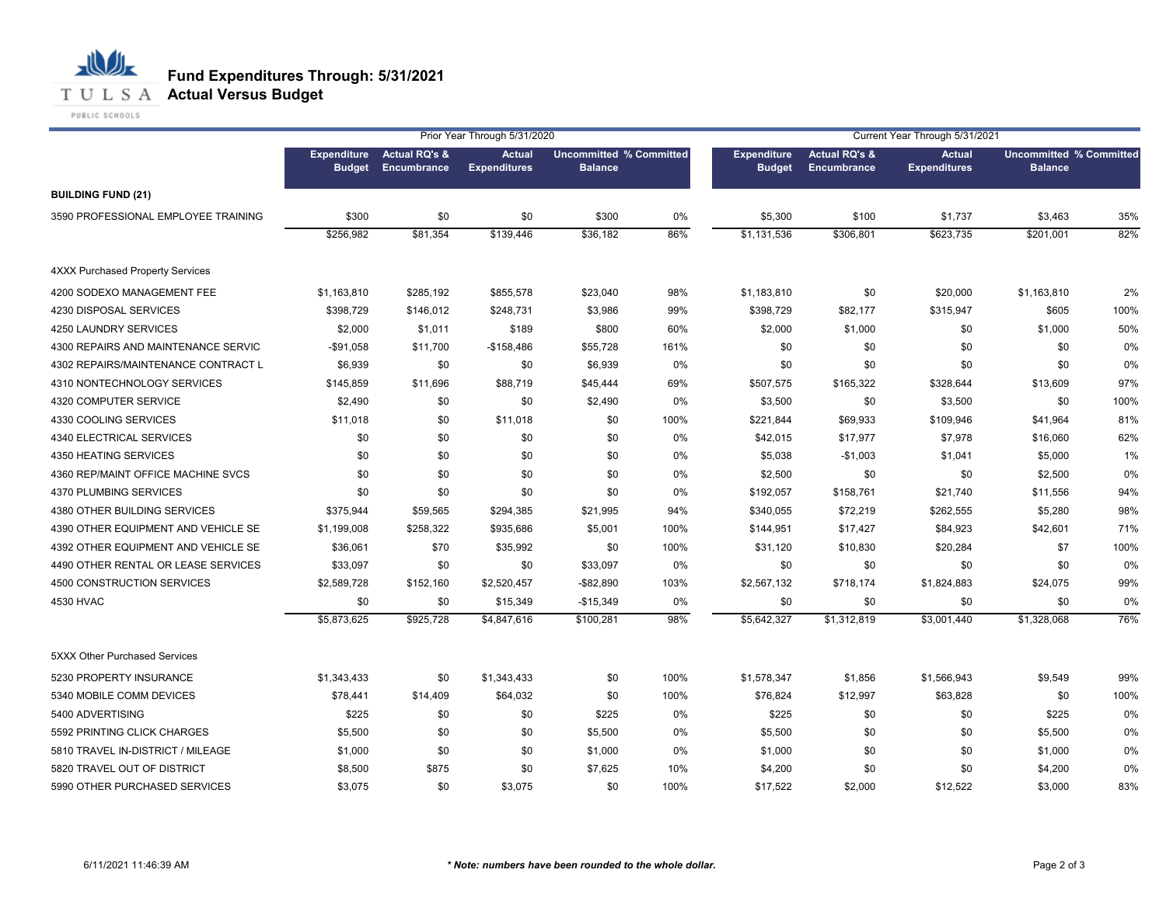**T U L S A Actual Versus Budget** 

PUBLIC SCHOOLS

|                                         |                                     |                                         | Prior Year Through 5/31/2020         |                                                  | Current Year Through 5/31/2021 |                                     |                                         |                                      |                                                  |      |
|-----------------------------------------|-------------------------------------|-----------------------------------------|--------------------------------------|--------------------------------------------------|--------------------------------|-------------------------------------|-----------------------------------------|--------------------------------------|--------------------------------------------------|------|
|                                         | <b>Expenditure</b><br><b>Budget</b> | <b>Actual RQ's &amp;</b><br>Encumbrance | <b>Actual</b><br><b>Expenditures</b> | <b>Uncommitted % Committed</b><br><b>Balance</b> |                                | <b>Expenditure</b><br><b>Budget</b> | <b>Actual RQ's &amp;</b><br>Encumbrance | <b>Actual</b><br><b>Expenditures</b> | <b>Uncommitted % Committed</b><br><b>Balance</b> |      |
| <b>BUILDING FUND (21)</b>               |                                     |                                         |                                      |                                                  |                                |                                     |                                         |                                      |                                                  |      |
| 3590 PROFESSIONAL EMPLOYEE TRAINING     | \$300                               | \$0                                     | \$0                                  | \$300                                            | 0%                             | \$5,300                             | \$100                                   | \$1,737                              | \$3,463                                          | 35%  |
|                                         | \$256,982                           | \$81,354                                | \$139,446                            | \$36,182                                         | 86%                            | \$1,131,536                         | \$306,801                               | \$623,735                            | \$201,001                                        | 82%  |
| <b>4XXX Purchased Property Services</b> |                                     |                                         |                                      |                                                  |                                |                                     |                                         |                                      |                                                  |      |
| 4200 SODEXO MANAGEMENT FEE              | \$1,163,810                         | \$285,192                               | \$855,578                            | \$23,040                                         | 98%                            | \$1,183,810                         | \$0                                     | \$20,000                             | \$1,163,810                                      | 2%   |
| 4230 DISPOSAL SERVICES                  | \$398,729                           | \$146,012                               | \$248,731                            | \$3,986                                          | 99%                            | \$398,729                           | \$82,177                                | \$315,947                            | \$605                                            | 100% |
| 4250 LAUNDRY SERVICES                   | \$2,000                             | \$1,011                                 | \$189                                | \$800                                            | 60%                            | \$2,000                             | \$1,000                                 | \$0                                  | \$1,000                                          | 50%  |
| 4300 REPAIRS AND MAINTENANCE SERVIC     | $-$91,058$                          | \$11,700                                | $-$158,486$                          | \$55,728                                         | 161%                           | \$0                                 | \$0                                     | \$0                                  | \$0                                              | 0%   |
| 4302 REPAIRS/MAINTENANCE CONTRACT L     | \$6,939                             | \$0                                     | \$0                                  | \$6,939                                          | 0%                             | \$0                                 | \$0                                     | \$0                                  | \$0                                              | 0%   |
| 4310 NONTECHNOLOGY SERVICES             | \$145,859                           | \$11,696                                | \$88,719                             | \$45,444                                         | 69%                            | \$507,575                           | \$165,322                               | \$328,644                            | \$13,609                                         | 97%  |
| 4320 COMPUTER SERVICE                   | \$2,490                             | \$0                                     | \$0                                  | \$2,490                                          | 0%                             | \$3,500                             | \$0                                     | \$3,500                              | \$0                                              | 100% |
| 4330 COOLING SERVICES                   | \$11,018                            | \$0                                     | \$11,018                             | \$0                                              | 100%                           | \$221,844                           | \$69,933                                | \$109,946                            | \$41,964                                         | 81%  |
| 4340 ELECTRICAL SERVICES                | \$0                                 | \$0                                     | \$0                                  | \$0                                              | $0\%$                          | \$42,015                            | \$17,977                                | \$7,978                              | \$16,060                                         | 62%  |
| 4350 HEATING SERVICES                   | \$0                                 | \$0                                     | \$0                                  | \$0                                              | 0%                             | \$5,038                             | $-$1,003$                               | \$1,041                              | \$5,000                                          | 1%   |
| 4360 REP/MAINT OFFICE MACHINE SVCS      | \$0                                 | \$0                                     | \$0                                  | \$0                                              | 0%                             | \$2,500                             | \$0                                     | \$0                                  | \$2,500                                          | 0%   |
| 4370 PLUMBING SERVICES                  | \$0                                 | \$0                                     | \$0                                  | \$0                                              | 0%                             | \$192,057                           | \$158,761                               | \$21,740                             | \$11,556                                         | 94%  |
| 4380 OTHER BUILDING SERVICES            | \$375,944                           | \$59,565                                | \$294,385                            | \$21,995                                         | 94%                            | \$340,055                           | \$72,219                                | \$262,555                            | \$5,280                                          | 98%  |
| 4390 OTHER EQUIPMENT AND VEHICLE SE     | \$1,199,008                         | \$258,322                               | \$935,686                            | \$5,001                                          | 100%                           | \$144,951                           | \$17,427                                | \$84,923                             | \$42,601                                         | 71%  |
| 4392 OTHER EQUIPMENT AND VEHICLE SE     | \$36,061                            | \$70                                    | \$35,992                             | \$0                                              | 100%                           | \$31,120                            | \$10,830                                | \$20,284                             | \$7                                              | 100% |
| 4490 OTHER RENTAL OR LEASE SERVICES     | \$33,097                            | \$0                                     | \$0                                  | \$33,097                                         | 0%                             | \$0                                 | \$0                                     | \$0                                  | \$0                                              | 0%   |
| 4500 CONSTRUCTION SERVICES              | \$2,589,728                         | \$152,160                               | \$2,520,457                          | $-$ \$82,890                                     | 103%                           | \$2,567,132                         | \$718,174                               | \$1,824,883                          | \$24,075                                         | 99%  |
| 4530 HVAC                               | \$0                                 | \$0                                     | \$15,349                             | $-$15,349$                                       | 0%                             | \$0                                 | \$0                                     | \$0                                  | \$0                                              | 0%   |
|                                         | \$5,873,625                         | \$925,728                               | \$4,847,616                          | \$100,281                                        | 98%                            | \$5,642,327                         | \$1,312,819                             | \$3,001,440                          | \$1,328,068                                      | 76%  |
| 5XXX Other Purchased Services           |                                     |                                         |                                      |                                                  |                                |                                     |                                         |                                      |                                                  |      |
| 5230 PROPERTY INSURANCE                 | \$1,343,433                         | \$0                                     | \$1,343,433                          | \$0                                              | 100%                           | \$1,578,347                         | \$1,856                                 | \$1,566,943                          | \$9,549                                          | 99%  |
| 5340 MOBILE COMM DEVICES                | \$78,441                            | \$14,409                                | \$64,032                             | \$0                                              | 100%                           | \$76,824                            | \$12,997                                | \$63,828                             | \$0                                              | 100% |
| 5400 ADVERTISING                        | \$225                               | \$0                                     | \$0                                  | \$225                                            | 0%                             | \$225                               | \$0                                     | \$0                                  | \$225                                            | 0%   |
| 5592 PRINTING CLICK CHARGES             | \$5,500                             | \$0                                     | \$0                                  | \$5,500                                          | 0%                             | \$5,500                             | \$0                                     | \$0                                  | \$5,500                                          | 0%   |
| 5810 TRAVEL IN-DISTRICT / MILEAGE       | \$1,000                             | \$0                                     | \$0                                  | \$1,000                                          | 0%                             | \$1,000                             | \$0                                     | \$0                                  | \$1,000                                          | 0%   |
| 5820 TRAVEL OUT OF DISTRICT             | \$8,500                             | \$875                                   | \$0                                  | \$7,625                                          | 10%                            | \$4,200                             | \$0                                     | \$0                                  | \$4,200                                          | 0%   |
| 5990 OTHER PURCHASED SERVICES           | \$3,075                             | \$0                                     | \$3,075                              | \$0                                              | 100%                           | \$17,522                            | \$2,000                                 | \$12,522                             | \$3,000                                          | 83%  |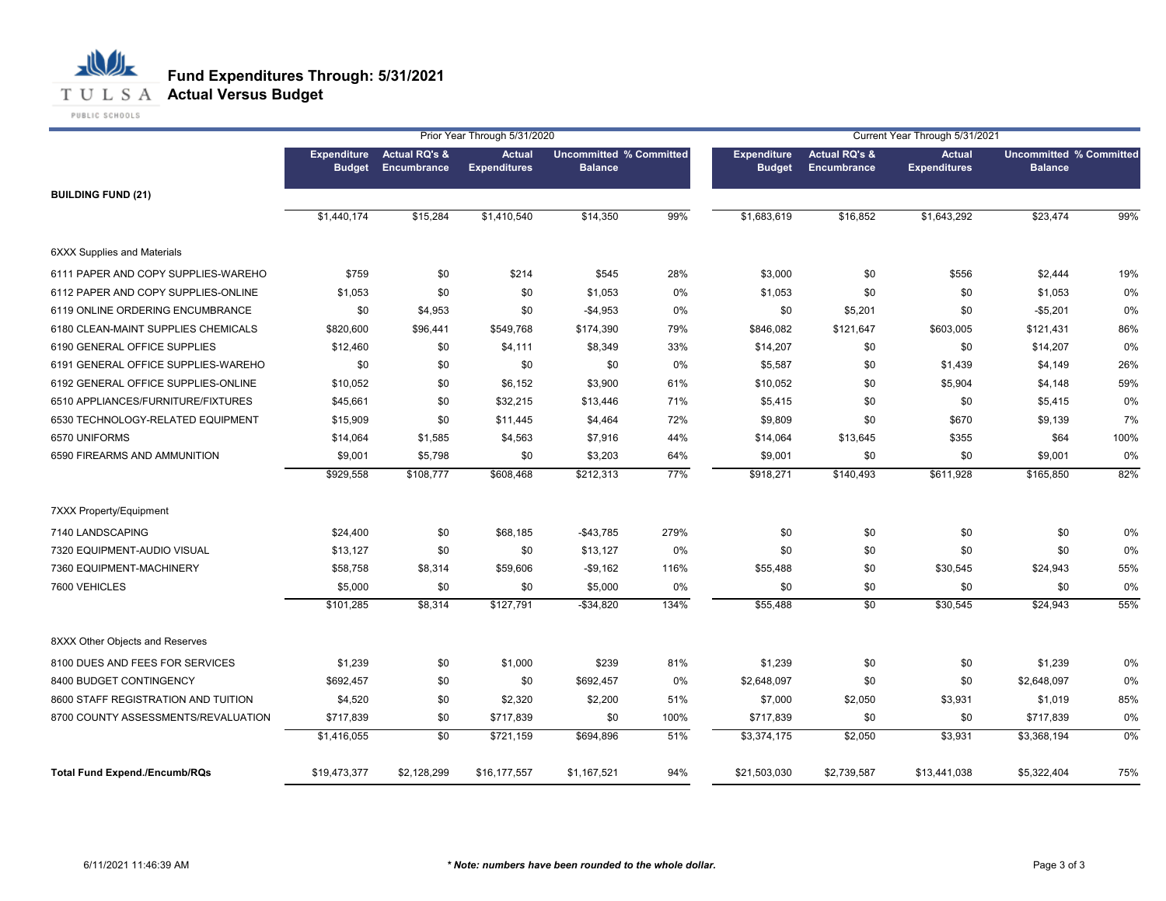

|                                      |                                     |                                                | Prior Year Through 5/31/2020         |                                                  |      | Current Year Through 5/31/2021      |                                                |                                      |                                                  |      |
|--------------------------------------|-------------------------------------|------------------------------------------------|--------------------------------------|--------------------------------------------------|------|-------------------------------------|------------------------------------------------|--------------------------------------|--------------------------------------------------|------|
|                                      | <b>Expenditure</b><br><b>Budget</b> | <b>Actual RQ's &amp;</b><br><b>Encumbrance</b> | <b>Actual</b><br><b>Expenditures</b> | <b>Uncommitted % Committed</b><br><b>Balance</b> |      | <b>Expenditure</b><br><b>Budget</b> | <b>Actual RQ's &amp;</b><br><b>Encumbrance</b> | <b>Actual</b><br><b>Expenditures</b> | <b>Uncommitted % Committed</b><br><b>Balance</b> |      |
| <b>BUILDING FUND (21)</b>            |                                     |                                                |                                      |                                                  |      |                                     |                                                |                                      |                                                  |      |
|                                      | \$1,440,174                         | \$15,284                                       | \$1,410,540                          | \$14,350                                         | 99%  | \$1,683,619                         | \$16,852                                       | \$1,643,292                          | \$23,474                                         | 99%  |
| <b>6XXX Supplies and Materials</b>   |                                     |                                                |                                      |                                                  |      |                                     |                                                |                                      |                                                  |      |
| 6111 PAPER AND COPY SUPPLIES-WAREHO  | \$759                               | \$0                                            | \$214                                | \$545                                            | 28%  | \$3,000                             | \$0                                            | \$556                                | \$2,444                                          | 19%  |
| 6112 PAPER AND COPY SUPPLIES-ONLINE  | \$1,053                             | \$0                                            | \$0                                  | \$1,053                                          | 0%   | \$1,053                             | \$0                                            | \$0                                  | \$1,053                                          | 0%   |
| 6119 ONLINE ORDERING ENCUMBRANCE     | \$0                                 | \$4,953                                        | \$0                                  | $-$4,953$                                        | 0%   | \$0                                 | \$5,201                                        | \$0                                  | $-$5,201$                                        | 0%   |
| 6180 CLEAN-MAINT SUPPLIES CHEMICALS  | \$820,600                           | \$96,441                                       | \$549,768                            | \$174,390                                        | 79%  | \$846,082                           | \$121,647                                      | \$603,005                            | \$121,431                                        | 86%  |
| 6190 GENERAL OFFICE SUPPLIES         | \$12,460                            | \$0                                            | \$4,111                              | \$8,349                                          | 33%  | \$14,207                            | \$0                                            | \$0                                  | \$14,207                                         | 0%   |
| 6191 GENERAL OFFICE SUPPLIES-WAREHO  | \$0                                 | \$0                                            | \$0                                  | \$0                                              | 0%   | \$5,587                             | \$0                                            | \$1,439                              | \$4,149                                          | 26%  |
| 6192 GENERAL OFFICE SUPPLIES-ONLINE  | \$10,052                            | \$0                                            | \$6,152                              | \$3,900                                          | 61%  | \$10,052                            | \$0                                            | \$5,904                              | \$4,148                                          | 59%  |
| 6510 APPLIANCES/FURNITURE/FIXTURES   | \$45,661                            | \$0                                            | \$32,215                             | \$13,446                                         | 71%  | \$5,415                             | \$0                                            | \$0                                  | \$5,415                                          | 0%   |
| 6530 TECHNOLOGY-RELATED EQUIPMENT    | \$15,909                            | \$0                                            | \$11,445                             | \$4,464                                          | 72%  | \$9,809                             | \$0                                            | \$670                                | \$9,139                                          | 7%   |
| 6570 UNIFORMS                        | \$14,064                            | \$1,585                                        | \$4,563                              | \$7,916                                          | 44%  | \$14,064                            | \$13,645                                       | \$355                                | \$64                                             | 100% |
| 6590 FIREARMS AND AMMUNITION         | \$9,001                             | \$5,798                                        | \$0                                  | \$3,203                                          | 64%  | \$9,001                             | \$0                                            | \$0                                  | \$9,001                                          | 0%   |
|                                      | \$929,558                           | \$108,777                                      | \$608,468                            | \$212,313                                        | 77%  | \$918,271                           | \$140,493                                      | \$611,928                            | \$165,850                                        | 82%  |
| 7XXX Property/Equipment              |                                     |                                                |                                      |                                                  |      |                                     |                                                |                                      |                                                  |      |
| 7140 LANDSCAPING                     | \$24,400                            | \$0                                            | \$68,185                             | $-$43,785$                                       | 279% | \$0                                 | \$0                                            | \$0                                  | \$0                                              | 0%   |
| 7320 EQUIPMENT-AUDIO VISUAL          | \$13,127                            | \$0                                            | \$0                                  | \$13,127                                         | 0%   | \$0                                 | \$0                                            | \$0                                  | \$0                                              | 0%   |
| 7360 EQUIPMENT-MACHINERY             | \$58,758                            | \$8,314                                        | \$59,606                             | $-$9,162$                                        | 116% | \$55,488                            | \$0                                            | \$30,545                             | \$24,943                                         | 55%  |
| 7600 VEHICLES                        | \$5,000                             | \$0                                            | \$0                                  | \$5,000                                          | 0%   | \$0                                 | \$0                                            | \$0                                  | \$0                                              | 0%   |
|                                      | \$101,285                           | \$8,314                                        | \$127,791                            | $-$ \$34,820                                     | 134% | \$55,488                            | \$0                                            | \$30,545                             | \$24,943                                         | 55%  |
| 8XXX Other Objects and Reserves      |                                     |                                                |                                      |                                                  |      |                                     |                                                |                                      |                                                  |      |
| 8100 DUES AND FEES FOR SERVICES      | \$1,239                             | \$0                                            | \$1,000                              | \$239                                            | 81%  | \$1,239                             | \$0                                            | \$0                                  | \$1,239                                          | 0%   |
| 8400 BUDGET CONTINGENCY              | \$692,457                           | \$0                                            | \$0                                  | \$692,457                                        | 0%   | \$2,648,097                         | \$0                                            | \$0                                  | \$2,648,097                                      | 0%   |
| 8600 STAFF REGISTRATION AND TUITION  | \$4,520                             | \$0                                            | \$2,320                              | \$2,200                                          | 51%  | \$7,000                             | \$2,050                                        | \$3,931                              | \$1,019                                          | 85%  |
| 8700 COUNTY ASSESSMENTS/REVALUATION  | \$717,839                           | \$0                                            | \$717,839                            | \$0                                              | 100% | \$717,839                           | \$0                                            | \$0                                  | \$717,839                                        | 0%   |
|                                      | \$1,416,055                         | \$0                                            | \$721,159                            | \$694,896                                        | 51%  | \$3,374,175                         | \$2,050                                        | \$3,931                              | \$3,368,194                                      | 0%   |
| <b>Total Fund Expend./Encumb/RQs</b> | \$19,473,377                        | \$2,128,299                                    | \$16,177,557                         | \$1,167,521                                      | 94%  | \$21,503,030                        | \$2,739,587                                    | \$13,441,038                         | \$5,322,404                                      | 75%  |
|                                      |                                     |                                                |                                      |                                                  |      |                                     |                                                |                                      |                                                  |      |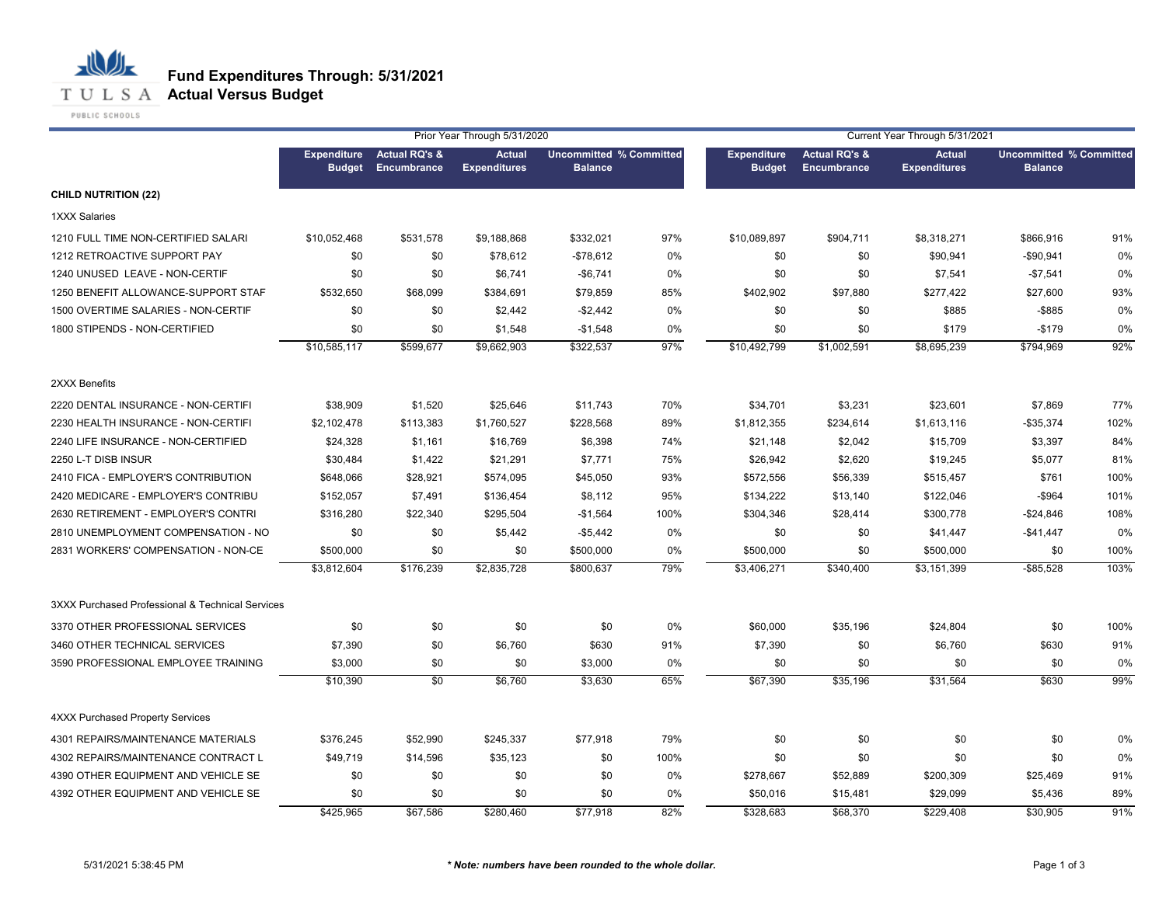

|                                                  |               |                                          | Prior Year Through 5/31/2020         |                                                  |      |                                     |                                         | Current Year Through 5/31/2021       |                                                  |      |
|--------------------------------------------------|---------------|------------------------------------------|--------------------------------------|--------------------------------------------------|------|-------------------------------------|-----------------------------------------|--------------------------------------|--------------------------------------------------|------|
|                                                  | <b>Budget</b> | Expenditure Actual RQ's &<br>Encumbrance | <b>Actual</b><br><b>Expenditures</b> | <b>Uncommitted % Committed</b><br><b>Balance</b> |      | <b>Expenditure</b><br><b>Budget</b> | <b>Actual RQ's &amp;</b><br>Encumbrance | <b>Actual</b><br><b>Expenditures</b> | <b>Uncommitted % Committed</b><br><b>Balance</b> |      |
| <b>CHILD NUTRITION (22)</b>                      |               |                                          |                                      |                                                  |      |                                     |                                         |                                      |                                                  |      |
| 1XXX Salaries                                    |               |                                          |                                      |                                                  |      |                                     |                                         |                                      |                                                  |      |
| 1210 FULL TIME NON-CERTIFIED SALARI              | \$10,052,468  | \$531,578                                | \$9,188,868                          | \$332,021                                        | 97%  | \$10,089,897                        | \$904,711                               | \$8,318,271                          | \$866,916                                        | 91%  |
| 1212 RETROACTIVE SUPPORT PAY                     | \$0           | \$0                                      | \$78,612                             | $-$78,612$                                       | 0%   | \$0                                 | \$0                                     | \$90,941                             | $-$90,941$                                       | 0%   |
| 1240 UNUSED LEAVE - NON-CERTIF                   | \$0           | \$0                                      | \$6,741                              | $-$6,741$                                        | 0%   | \$0                                 | \$0                                     | \$7,541                              | $-$7,541$                                        | 0%   |
| 1250 BENEFIT ALLOWANCE-SUPPORT STAF              | \$532,650     | \$68,099                                 | \$384,691                            | \$79,859                                         | 85%  | \$402,902                           | \$97,880                                | \$277,422                            | \$27,600                                         | 93%  |
| 1500 OVERTIME SALARIES - NON-CERTIF              | \$0           | \$0                                      | \$2,442                              | $-$2,442$                                        | 0%   | \$0                                 | \$0                                     | \$885                                | $-$ \$885                                        | 0%   |
| 1800 STIPENDS - NON-CERTIFIED                    | \$0           | \$0                                      | \$1,548                              | $-$1,548$                                        | 0%   | \$0                                 | \$0                                     | \$179                                | $-$179$                                          | 0%   |
|                                                  | \$10,585,117  | \$599,677                                | \$9,662,903                          | \$322,537                                        | 97%  | \$10,492,799                        | \$1,002,591                             | \$8,695,239                          | \$794,969                                        | 92%  |
| 2XXX Benefits                                    |               |                                          |                                      |                                                  |      |                                     |                                         |                                      |                                                  |      |
| 2220 DENTAL INSURANCE - NON-CERTIFI              | \$38,909      | \$1,520                                  | \$25,646                             | \$11,743                                         | 70%  | \$34,701                            | \$3,231                                 | \$23,601                             | \$7,869                                          | 77%  |
| 2230 HEALTH INSURANCE - NON-CERTIFI              | \$2,102,478   | \$113,383                                | \$1,760,527                          | \$228,568                                        | 89%  | \$1,812,355                         | \$234,614                               | \$1,613,116                          | $-$35,374$                                       | 102% |
| 2240 LIFE INSURANCE - NON-CERTIFIED              | \$24,328      | \$1,161                                  | \$16,769                             | \$6,398                                          | 74%  | \$21,148                            | \$2,042                                 | \$15,709                             | \$3,397                                          | 84%  |
| 2250 L-T DISB INSUR                              | \$30,484      | \$1,422                                  | \$21,291                             | \$7,771                                          | 75%  | \$26,942                            | \$2,620                                 | \$19,245                             | \$5,077                                          | 81%  |
| 2410 FICA - EMPLOYER'S CONTRIBUTION              | \$648,066     | \$28,921                                 | \$574,095                            | \$45,050                                         | 93%  | \$572,556                           | \$56,339                                | \$515,457                            | \$761                                            | 100% |
| 2420 MEDICARE - EMPLOYER'S CONTRIBU              | \$152,057     | \$7,491                                  | \$136,454                            | \$8,112                                          | 95%  | \$134,222                           | \$13,140                                | \$122,046                            | $-$964$                                          | 101% |
| 2630 RETIREMENT - EMPLOYER'S CONTRI              | \$316,280     | \$22,340                                 | \$295,504                            | $-$1,564$                                        | 100% | \$304,346                           | \$28,414                                | \$300,778                            | $-$24,846$                                       | 108% |
| 2810 UNEMPLOYMENT COMPENSATION - NO              | \$0           | \$0                                      | \$5,442                              | $-$5,442$                                        | 0%   | \$0                                 | \$0                                     | \$41,447                             | $-$41,447$                                       | 0%   |
| 2831 WORKERS' COMPENSATION - NON-CE              | \$500,000     | \$0                                      | \$0                                  | \$500,000                                        | 0%   | \$500,000                           | \$0                                     | \$500,000                            | \$0                                              | 100% |
|                                                  | \$3,812,604   | \$176,239                                | \$2,835,728                          | \$800,637                                        | 79%  | \$3,406,271                         | \$340,400                               | \$3,151,399                          | $-$ \$85,528                                     | 103% |
| 3XXX Purchased Professional & Technical Services |               |                                          |                                      |                                                  |      |                                     |                                         |                                      |                                                  |      |
| 3370 OTHER PROFESSIONAL SERVICES                 | \$0           | \$0                                      | \$0                                  | \$0                                              | 0%   | \$60,000                            | \$35,196                                | \$24,804                             | \$0                                              | 100% |
| 3460 OTHER TECHNICAL SERVICES                    | \$7,390       | \$0                                      | \$6,760                              | \$630                                            | 91%  | \$7,390                             | \$0                                     | \$6,760                              | \$630                                            | 91%  |
| 3590 PROFESSIONAL EMPLOYEE TRAINING              | \$3,000       | \$0                                      | \$0                                  | \$3,000                                          | 0%   | \$0                                 | \$0                                     | \$0                                  | \$0                                              | 0%   |
|                                                  | \$10,390      | \$0                                      | \$6,760                              | \$3,630                                          | 65%  | \$67,390                            | \$35,196                                | \$31,564                             | \$630                                            | 99%  |
| 4XXX Purchased Property Services                 |               |                                          |                                      |                                                  |      |                                     |                                         |                                      |                                                  |      |
| 4301 REPAIRS/MAINTENANCE MATERIALS               | \$376,245     | \$52,990                                 | \$245,337                            | \$77,918                                         | 79%  | \$0                                 | \$0                                     | \$0                                  | \$0                                              | 0%   |
| 4302 REPAIRS/MAINTENANCE CONTRACT L              | \$49,719      | \$14,596                                 | \$35,123                             | \$0                                              | 100% | \$0                                 | \$0                                     | \$0                                  | \$0                                              | 0%   |
| 4390 OTHER EQUIPMENT AND VEHICLE SE              | \$0           | \$0                                      | \$0                                  | \$0                                              | 0%   | \$278,667                           | \$52,889                                | \$200,309                            | \$25,469                                         | 91%  |
| 4392 OTHER EQUIPMENT AND VEHICLE SE              | \$0           | \$0                                      | \$0                                  | \$0                                              | 0%   | \$50,016                            | \$15,481                                | \$29,099                             | \$5,436                                          | 89%  |
|                                                  | \$425,965     | \$67,586                                 | \$280,460                            | \$77,918                                         | 82%  | \$328,683                           | \$68,370                                | \$229,408                            | \$30,905                                         | 91%  |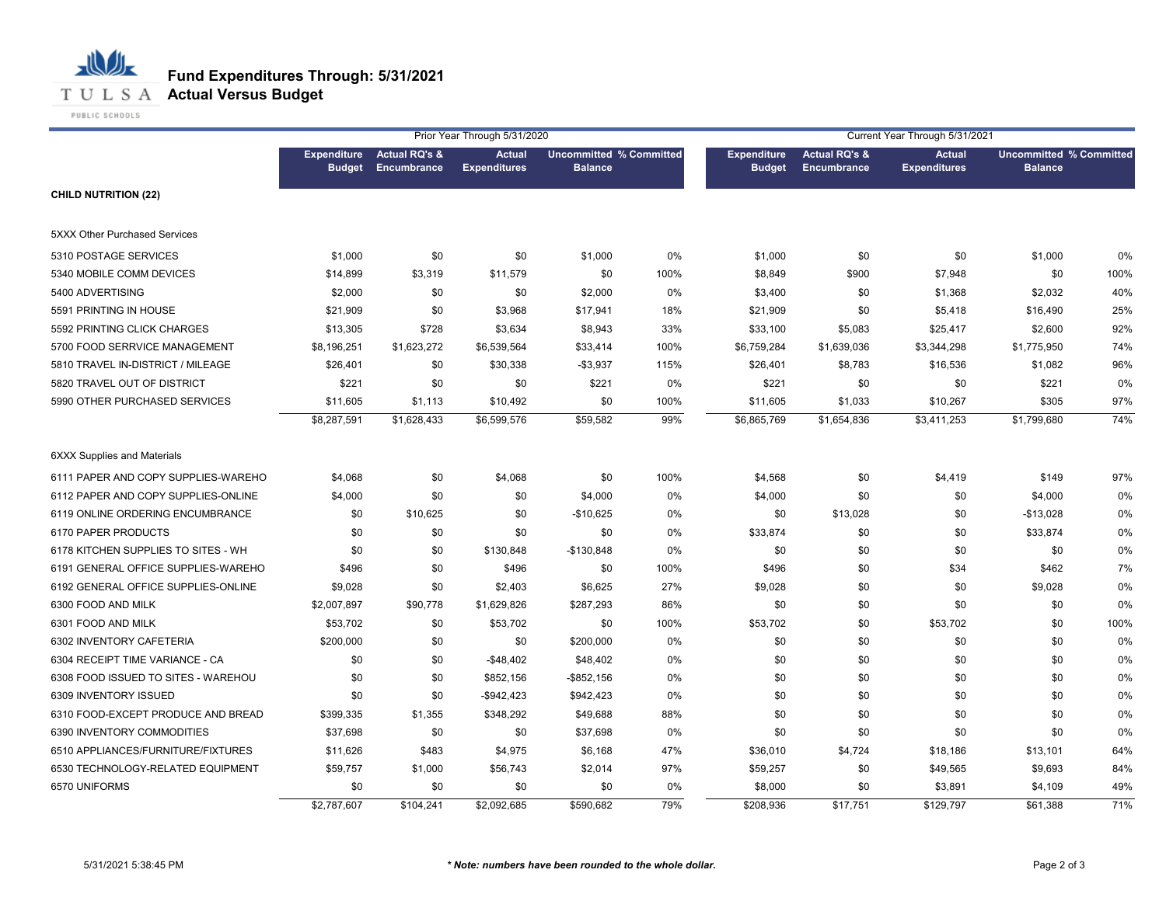

PUBLIC SCHOOLS Prior Year Through 5/31/2020 Current Year Through 5/31/2021 **Expenditure Actual RQ's &** 

|                                      |                                     |                                         | THUT TURE THIUUUJII UIU IIZUZU       |                                                  |      | OUITENT TEAT THIOUGH JIJ IIZUZT     |                                         |                                      |                |                                |  |
|--------------------------------------|-------------------------------------|-----------------------------------------|--------------------------------------|--------------------------------------------------|------|-------------------------------------|-----------------------------------------|--------------------------------------|----------------|--------------------------------|--|
|                                      | <b>Expenditure</b><br><b>Budget</b> | <b>Actual RQ's &amp;</b><br>Encumbrance | <b>Actual</b><br><b>Expenditures</b> | <b>Uncommitted % Committed</b><br><b>Balance</b> |      | <b>Expenditure</b><br><b>Budget</b> | <b>Actual RQ's &amp;</b><br>Encumbrance | <b>Actual</b><br><b>Expenditures</b> | <b>Balance</b> | <b>Uncommitted % Committed</b> |  |
| <b>CHILD NUTRITION (22)</b>          |                                     |                                         |                                      |                                                  |      |                                     |                                         |                                      |                |                                |  |
| <b>5XXX Other Purchased Services</b> |                                     |                                         |                                      |                                                  |      |                                     |                                         |                                      |                |                                |  |
| 5310 POSTAGE SERVICES                | \$1,000                             | \$0                                     | \$0                                  | \$1,000                                          | 0%   | \$1,000                             | \$0                                     | \$0                                  | \$1,000        | 0%                             |  |
| 5340 MOBILE COMM DEVICES             | \$14,899                            | \$3,319                                 | \$11,579                             | \$0                                              | 100% | \$8,849                             | \$900                                   | \$7,948                              | \$0            | 100%                           |  |
| 5400 ADVERTISING                     | \$2,000                             | \$0                                     | \$0                                  | \$2,000                                          | 0%   | \$3,400                             | \$0                                     | \$1,368                              | \$2,032        | 40%                            |  |
| 5591 PRINTING IN HOUSE               | \$21,909                            | \$0                                     | \$3,968                              | \$17,941                                         | 18%  | \$21,909                            | \$0                                     | \$5,418                              | \$16,490       | 25%                            |  |
| 5592 PRINTING CLICK CHARGES          | \$13,305                            | \$728                                   | \$3,634                              | \$8,943                                          | 33%  | \$33,100                            | \$5,083                                 | \$25,417                             | \$2,600        | 92%                            |  |
| 5700 FOOD SERRVICE MANAGEMENT        | \$8,196,251                         | \$1,623,272                             | \$6,539,564                          | \$33,414                                         | 100% | \$6,759,284                         | \$1,639,036                             | \$3,344,298                          | \$1,775,950    | 74%                            |  |
| 5810 TRAVEL IN-DISTRICT / MILEAGE    | \$26,401                            | \$0                                     | \$30,338                             | $-$3,937$                                        | 115% | \$26,401                            | \$8,783                                 | \$16,536                             | \$1,082        | 96%                            |  |
| 5820 TRAVEL OUT OF DISTRICT          | \$221                               | \$0                                     | \$0                                  | \$221                                            | 0%   | \$221                               | \$0                                     | \$0                                  | \$221          | 0%                             |  |
| 5990 OTHER PURCHASED SERVICES        | \$11,605                            | \$1,113                                 | \$10,492                             | \$0                                              | 100% | \$11,605                            | \$1,033                                 | \$10,267                             | \$305          | 97%                            |  |
|                                      | \$8,287,591                         | \$1,628,433                             | \$6,599,576                          | \$59,582                                         | 99%  | \$6,865,769                         | \$1,654,836                             | \$3,411,253                          | \$1,799,680    | 74%                            |  |
| <b>6XXX Supplies and Materials</b>   |                                     |                                         |                                      |                                                  |      |                                     |                                         |                                      |                |                                |  |
| 6111 PAPER AND COPY SUPPLIES-WAREHO  | \$4,068                             | \$0                                     | \$4,068                              | \$0                                              | 100% | \$4,568                             | \$0                                     | \$4,419                              | \$149          | 97%                            |  |
| 6112 PAPER AND COPY SUPPLIES-ONLINE  | \$4,000                             | \$0                                     | \$0                                  | \$4,000                                          | 0%   | \$4,000                             | \$0                                     | \$0                                  | \$4,000        | 0%                             |  |
| 6119 ONLINE ORDERING ENCUMBRANCE     | \$0                                 | \$10,625                                | \$0                                  | $-$10,625$                                       | 0%   | \$0                                 | \$13,028                                | \$0                                  | $-$13,028$     | 0%                             |  |
| 6170 PAPER PRODUCTS                  | \$0                                 | \$0                                     | \$0                                  | \$0                                              | 0%   | \$33,874                            | \$0                                     | \$0                                  | \$33,874       | 0%                             |  |
| 6178 KITCHEN SUPPLIES TO SITES - WH  | \$0                                 | \$0                                     | \$130,848                            | $-$130,848$                                      | 0%   | \$0                                 | \$0                                     | \$0                                  | \$0            | 0%                             |  |
| 6191 GENERAL OFFICE SUPPLIES-WAREHO  | \$496                               | \$0                                     | \$496                                | \$0                                              | 100% | \$496                               | \$0                                     | \$34                                 | \$462          | 7%                             |  |
| 6192 GENERAL OFFICE SUPPLIES-ONLINE  | \$9,028                             | \$0                                     | \$2,403                              | \$6,625                                          | 27%  | \$9,028                             | \$0                                     | \$0                                  | \$9,028        | 0%                             |  |
| 6300 FOOD AND MILK                   | \$2,007,897                         | \$90,778                                | \$1,629,826                          | \$287,293                                        | 86%  | \$0                                 | \$0                                     | \$0                                  | \$0            | 0%                             |  |
| 6301 FOOD AND MILK                   | \$53,702                            | \$0                                     | \$53,702                             | \$0                                              | 100% | \$53,702                            | \$0                                     | \$53,702                             | \$0            | 100%                           |  |
| 6302 INVENTORY CAFETERIA             | \$200,000                           | \$0                                     | \$0                                  | \$200,000                                        | 0%   | \$0                                 | \$0                                     | \$0                                  | \$0            | 0%                             |  |
| 6304 RECEIPT TIME VARIANCE - CA      | \$0                                 | \$0                                     | $-$48,402$                           | \$48,402                                         | 0%   | \$0                                 | \$0                                     | \$0                                  | \$0            | 0%                             |  |
| 6308 FOOD ISSUED TO SITES - WAREHOU  | \$0                                 | \$0                                     | \$852,156                            | $-$ \$852,156                                    | 0%   | \$0                                 | \$0                                     | \$0                                  | \$0            | 0%                             |  |
| 6309 INVENTORY ISSUED                | \$0                                 | \$0                                     | $-$942,423$                          | \$942,423                                        | 0%   | \$0                                 | \$0                                     | \$0                                  | \$0            | 0%                             |  |
| 6310 FOOD-EXCEPT PRODUCE AND BREAD   | \$399,335                           | \$1,355                                 | \$348,292                            | \$49,688                                         | 88%  | \$0                                 | \$0                                     | \$0                                  | \$0            | 0%                             |  |
| 6390 INVENTORY COMMODITIES           | \$37,698                            | \$0                                     | \$0                                  | \$37,698                                         | 0%   | \$0                                 | \$0                                     | \$0                                  | \$0            | 0%                             |  |
| 6510 APPLIANCES/FURNITURE/FIXTURES   | \$11,626                            | \$483                                   | \$4,975                              | \$6,168                                          | 47%  | \$36,010                            | \$4,724                                 | \$18,186                             | \$13,101       | 64%                            |  |
| 6530 TECHNOLOGY-RELATED EQUIPMENT    | \$59,757                            | \$1,000                                 | \$56,743                             | \$2,014                                          | 97%  | \$59,257                            | \$0                                     | \$49,565                             | \$9,693        | 84%                            |  |
| 6570 UNIFORMS                        | \$0                                 | \$0                                     | \$0                                  | \$0                                              | 0%   | \$8,000                             | \$0                                     | \$3,891                              | \$4,109        | 49%                            |  |
|                                      | \$2,787,607                         | \$104,241                               | \$2,092,685                          | \$590,682                                        | 79%  | \$208,936                           | \$17,751                                | \$129,797                            | \$61.388       | 71%                            |  |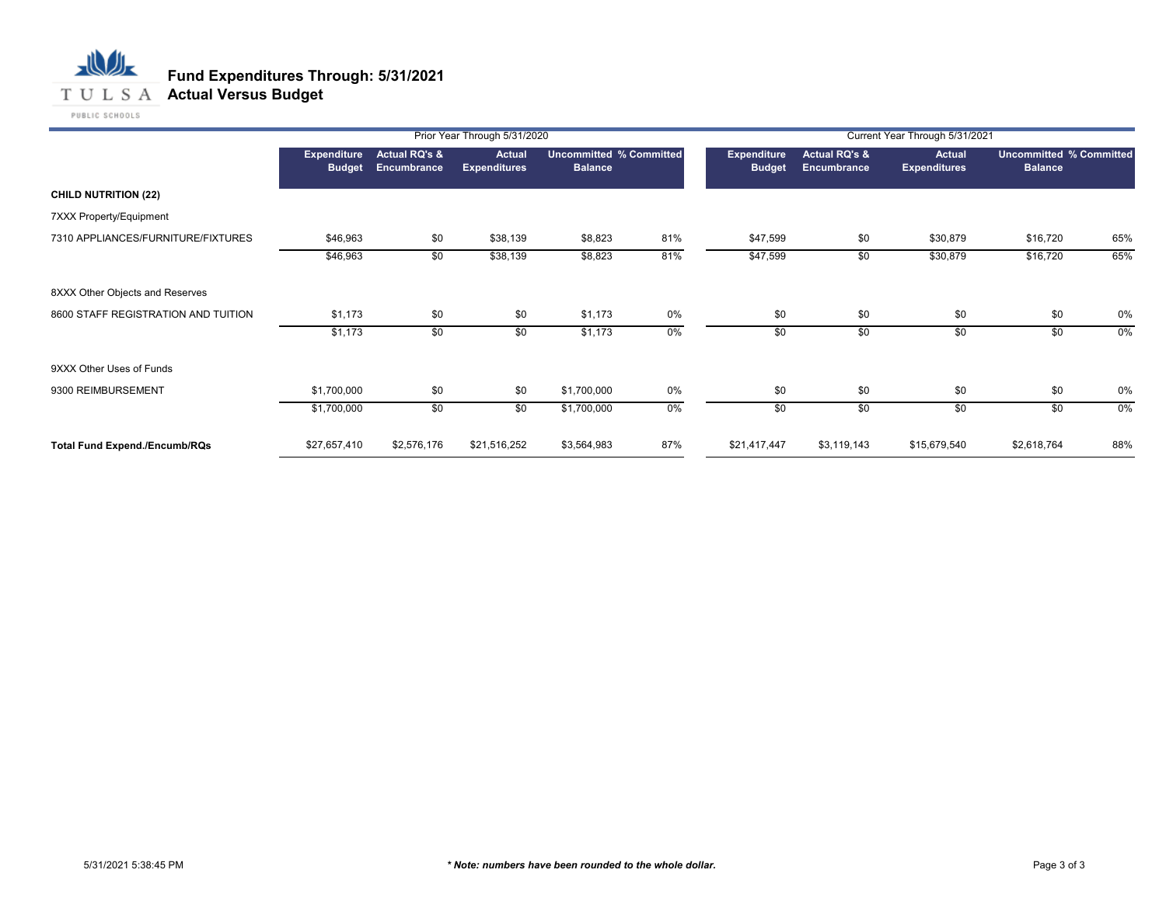

|                                      |                                     |                                         | Prior Year Through 5/31/2020         |                                                  |       | Current Year Through 5/31/2021 |                                                |                                      |                                                  |     |
|--------------------------------------|-------------------------------------|-----------------------------------------|--------------------------------------|--------------------------------------------------|-------|--------------------------------|------------------------------------------------|--------------------------------------|--------------------------------------------------|-----|
|                                      | <b>Expenditure</b><br><b>Budget</b> | <b>Actual RQ's &amp;</b><br>Encumbrance | <b>Actual</b><br><b>Expenditures</b> | <b>Uncommitted % Committed</b><br><b>Balance</b> |       | Expenditure<br><b>Budget</b>   | <b>Actual RQ's &amp;</b><br><b>Encumbrance</b> | <b>Actual</b><br><b>Expenditures</b> | <b>Uncommitted % Committed</b><br><b>Balance</b> |     |
| <b>CHILD NUTRITION (22)</b>          |                                     |                                         |                                      |                                                  |       |                                |                                                |                                      |                                                  |     |
| 7XXX Property/Equipment              |                                     |                                         |                                      |                                                  |       |                                |                                                |                                      |                                                  |     |
| 7310 APPLIANCES/FURNITURE/FIXTURES   | \$46,963                            | \$0                                     | \$38,139                             | \$8,823                                          | 81%   | \$47,599                       | \$0                                            | \$30,879                             | \$16,720                                         | 65% |
|                                      | \$46,963                            | \$0                                     | \$38,139                             | \$8,823                                          | 81%   | \$47,599                       | \$0                                            | \$30,879                             | \$16,720                                         | 65% |
| 8XXX Other Objects and Reserves      |                                     |                                         |                                      |                                                  |       |                                |                                                |                                      |                                                  |     |
| 8600 STAFF REGISTRATION AND TUITION  | \$1,173                             | \$0                                     | \$0                                  | \$1,173                                          | 0%    | \$0                            | \$0                                            | \$0                                  | \$0                                              | 0%  |
|                                      | \$1,173                             | \$0                                     | \$0                                  | \$1,173                                          | $0\%$ | \$0                            | \$0                                            | \$0                                  | \$0                                              | 0%  |
| 9XXX Other Uses of Funds             |                                     |                                         |                                      |                                                  |       |                                |                                                |                                      |                                                  |     |
| 9300 REIMBURSEMENT                   | \$1,700,000                         | \$0                                     | \$0                                  | \$1,700,000                                      | 0%    | \$0                            | \$0                                            | \$0                                  | \$0                                              | 0%  |
|                                      | \$1,700,000                         | \$0                                     | \$0                                  | \$1,700,000                                      | $0\%$ | $\overline{50}$                | \$0                                            | $\overline{50}$                      | \$0                                              | 0%  |
| <b>Total Fund Expend./Encumb/RQs</b> | \$27,657,410                        | \$2,576,176                             | \$21,516,252                         | \$3,564,983                                      | 87%   | \$21,417,447                   | \$3,119,143                                    | \$15,679,540                         | \$2,618,764                                      | 88% |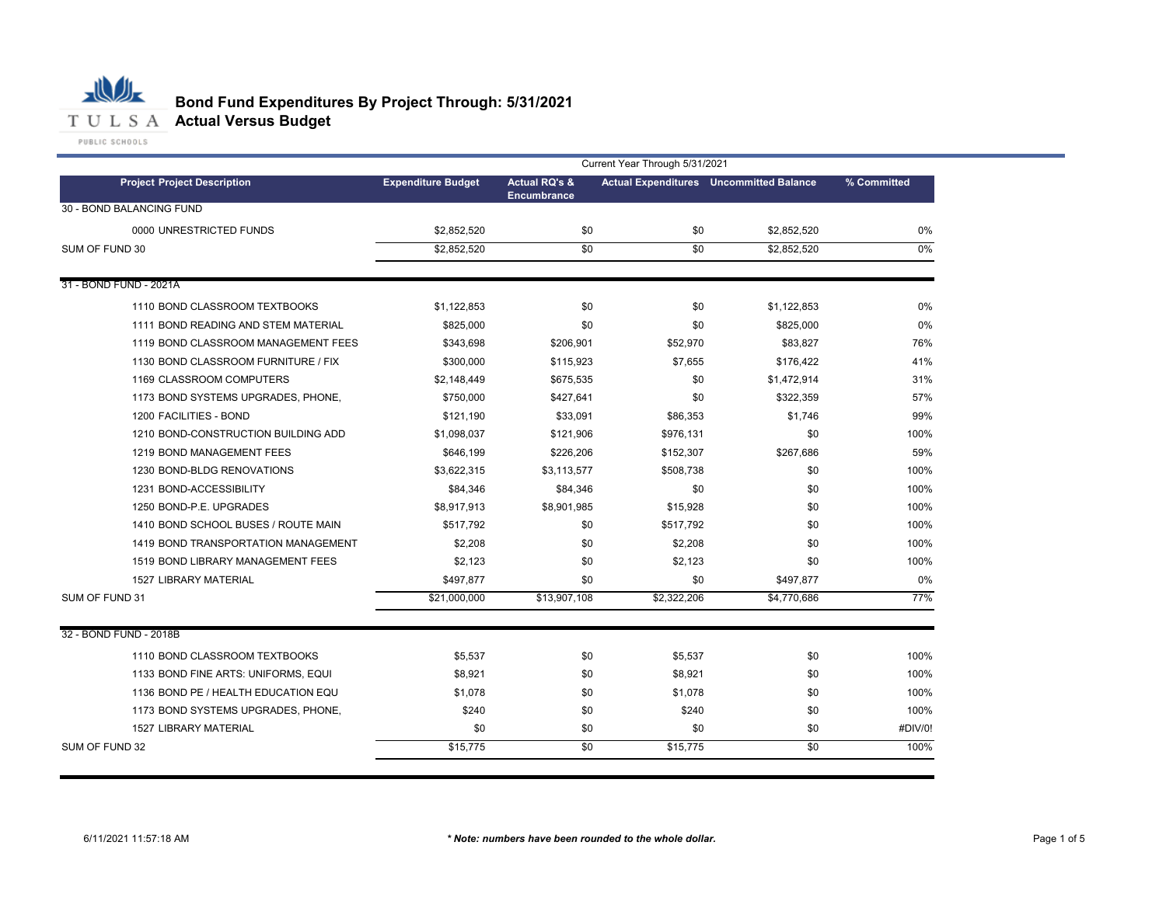

|                                     | Current Year Through 5/31/2021 |                                                |                 |                                                |             |  |  |
|-------------------------------------|--------------------------------|------------------------------------------------|-----------------|------------------------------------------------|-------------|--|--|
| <b>Project Project Description</b>  | <b>Expenditure Budget</b>      | <b>Actual RQ's &amp;</b><br><b>Encumbrance</b> |                 | <b>Actual Expenditures</b> Uncommitted Balance | % Committed |  |  |
| 30 - BOND BALANCING FUND            |                                |                                                |                 |                                                |             |  |  |
| 0000 UNRESTRICTED FUNDS             | \$2,852,520                    | \$0                                            | \$0             | \$2,852,520                                    | 0%          |  |  |
| SUM OF FUND 30                      | \$2,852,520                    | $\overline{50}$                                | $\overline{50}$ | \$2,852,520                                    | $0\%$       |  |  |
|                                     |                                |                                                |                 |                                                |             |  |  |
| 31 - BOND FUND - 2021A              |                                |                                                |                 |                                                |             |  |  |
| 1110 BOND CLASSROOM TEXTBOOKS       | \$1,122,853                    | \$0                                            | \$0             | \$1,122,853                                    | $0\%$       |  |  |
| 1111 BOND READING AND STEM MATERIAL | \$825,000                      | \$0                                            | \$0             | \$825,000                                      | 0%          |  |  |
| 1119 BOND CLASSROOM MANAGEMENT FEES | \$343,698                      | \$206,901                                      | \$52,970        | \$83,827                                       | 76%         |  |  |
| 1130 BOND CLASSROOM FURNITURE / FIX | \$300,000                      | \$115,923                                      | \$7,655         | \$176,422                                      | 41%         |  |  |
| 1169 CLASSROOM COMPUTERS            | \$2,148,449                    | \$675,535                                      | \$0             | \$1,472,914                                    | 31%         |  |  |
| 1173 BOND SYSTEMS UPGRADES, PHONE,  | \$750,000                      | \$427,641                                      | \$0             | \$322,359                                      | 57%         |  |  |
| 1200 FACILITIES - BOND              | \$121,190                      | \$33,091                                       | \$86,353        | \$1,746                                        | 99%         |  |  |
| 1210 BOND-CONSTRUCTION BUILDING ADD | \$1,098,037                    | \$121,906                                      | \$976,131       | \$0                                            | 100%        |  |  |
| 1219 BOND MANAGEMENT FEES           | \$646,199                      | \$226,206                                      | \$152,307       | \$267,686                                      | 59%         |  |  |
| 1230 BOND-BLDG RENOVATIONS          | \$3,622,315                    | \$3,113,577                                    | \$508,738       | \$0                                            | 100%        |  |  |
| 1231 BOND-ACCESSIBILITY             | \$84,346                       | \$84,346                                       | \$0             | \$0                                            | 100%        |  |  |
| 1250 BOND-P.E. UPGRADES             | \$8,917,913                    | \$8,901,985                                    | \$15,928        | \$0                                            | 100%        |  |  |
| 1410 BOND SCHOOL BUSES / ROUTE MAIN | \$517,792                      | \$0                                            | \$517,792       | \$0                                            | 100%        |  |  |
| 1419 BOND TRANSPORTATION MANAGEMENT | \$2,208                        | \$0                                            | \$2,208         | \$0                                            | 100%        |  |  |
| 1519 BOND LIBRARY MANAGEMENT FEES   | \$2,123                        | \$0                                            | \$2,123         | \$0                                            | 100%        |  |  |
| <b>1527 LIBRARY MATERIAL</b>        | \$497,877                      | \$0                                            | \$0             | \$497,877                                      | $0\%$       |  |  |
| SUM OF FUND 31                      | \$21,000,000                   | \$13,907,108                                   | \$2,322,206     | \$4,770,686                                    | 77%         |  |  |
| 32 - BOND FUND - 2018B              |                                |                                                |                 |                                                |             |  |  |
| 1110 BOND CLASSROOM TEXTBOOKS       | \$5,537                        | \$0                                            | \$5,537         | \$0                                            | 100%        |  |  |
| 1133 BOND FINE ARTS: UNIFORMS, EQUI | \$8,921                        | \$0                                            | \$8,921         | \$0                                            | 100%        |  |  |
| 1136 BOND PE / HEALTH EDUCATION EQU | \$1,078                        | \$0                                            | \$1,078         | \$0                                            | 100%        |  |  |
| 1173 BOND SYSTEMS UPGRADES, PHONE,  | \$240                          | \$0                                            | \$240           | \$0                                            | 100%        |  |  |
| <b>1527 LIBRARY MATERIAL</b>        | \$0                            | \$0                                            | \$0             | \$0                                            | #DIV/0!     |  |  |
| SUM OF FUND 32                      | \$15,775                       | \$0                                            | \$15,775        | $\overline{50}$                                | 100%        |  |  |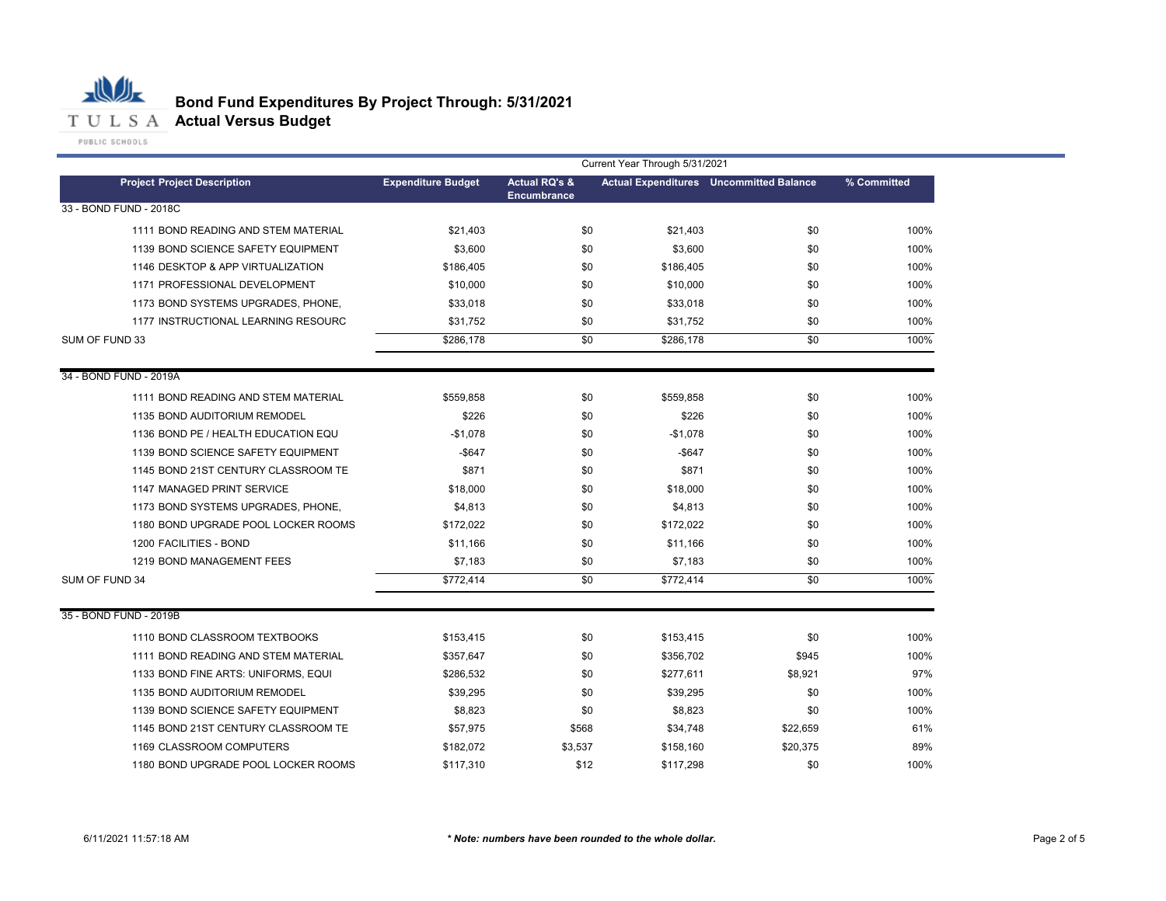

# **Bond Fund Expenditures By Project Through: 5/31/2021**

| Current Year Through 5/31/2021      |                           |                          |           |                                                |             |
|-------------------------------------|---------------------------|--------------------------|-----------|------------------------------------------------|-------------|
| <b>Project Project Description</b>  | <b>Expenditure Budget</b> | <b>Actual RQ's &amp;</b> |           | <b>Actual Expenditures</b> Uncommitted Balance | % Committed |
| 33 - BOND FUND - 2018C              |                           | <b>Encumbrance</b>       |           |                                                |             |
| 1111 BOND READING AND STEM MATERIAL | \$21,403                  | \$0                      | \$21,403  | \$0                                            | 100%        |
| 1139 BOND SCIENCE SAFETY EQUIPMENT  | \$3,600                   | \$0                      | \$3,600   | \$0                                            | 100%        |
| 1146 DESKTOP & APP VIRTUALIZATION   | \$186,405                 | \$0                      | \$186,405 | \$0                                            | 100%        |
| 1171 PROFESSIONAL DEVELOPMENT       | \$10,000                  | \$0                      | \$10,000  | \$0                                            | 100%        |
| 1173 BOND SYSTEMS UPGRADES, PHONE,  | \$33,018                  | \$0                      | \$33,018  | \$0                                            | 100%        |
| 1177 INSTRUCTIONAL LEARNING RESOURC | \$31,752                  | \$0                      | \$31,752  | \$0                                            | 100%        |
| SUM OF FUND 33                      | \$286,178                 | \$0                      | \$286,178 | \$0                                            | 100%        |
|                                     |                           |                          |           |                                                |             |
| 34 - BOND FUND - 2019A              |                           |                          |           |                                                |             |
| 1111 BOND READING AND STEM MATERIAL | \$559,858                 | \$0                      | \$559,858 | \$0                                            | 100%        |
| 1135 BOND AUDITORIUM REMODEL        | \$226                     | \$0                      | \$226     | \$0                                            | 100%        |
| 1136 BOND PE / HEALTH EDUCATION EQU | $-$1,078$                 | \$0                      | $-$1,078$ | \$0                                            | 100%        |
| 1139 BOND SCIENCE SAFETY EQUIPMENT  | $-$ \$647                 | \$0                      | $-$647$   | \$0                                            | 100%        |
| 1145 BOND 21ST CENTURY CLASSROOM TE | \$871                     | \$0                      | \$871     | \$0                                            | 100%        |
| 1147 MANAGED PRINT SERVICE          | \$18,000                  | \$0                      | \$18,000  | \$0                                            | 100%        |
| 1173 BOND SYSTEMS UPGRADES, PHONE,  | \$4,813                   | \$0                      | \$4,813   | \$0                                            | 100%        |
| 1180 BOND UPGRADE POOL LOCKER ROOMS | \$172,022                 | \$0                      | \$172,022 | \$0                                            | 100%        |
| 1200 FACILITIES - BOND              | \$11,166                  | \$0                      | \$11,166  | \$0                                            | 100%        |
| 1219 BOND MANAGEMENT FEES           | \$7,183                   | \$0                      | \$7,183   | \$0                                            | 100%        |
| SUM OF FUND 34                      | \$772,414                 | \$0                      | \$772,414 | \$0                                            | 100%        |
|                                     |                           |                          |           |                                                |             |
| 35 - BOND FUND - 2019B              |                           |                          |           |                                                |             |
| 1110 BOND CLASSROOM TEXTBOOKS       | \$153,415                 | \$0                      | \$153,415 | \$0                                            | 100%        |
| 1111 BOND READING AND STEM MATERIAL | \$357,647                 | \$0                      | \$356,702 | \$945                                          | 100%        |
| 1133 BOND FINE ARTS: UNIFORMS, EQUI | \$286,532                 | \$0                      | \$277,611 | \$8,921                                        | 97%         |
| 1135 BOND AUDITORIUM REMODEL        | \$39,295                  | \$0                      | \$39,295  | \$0                                            | 100%        |
| 1139 BOND SCIENCE SAFETY EQUIPMENT  | \$8,823                   | \$0                      | \$8,823   | \$0                                            | 100%        |
| 1145 BOND 21ST CENTURY CLASSROOM TE | \$57,975                  | \$568                    | \$34,748  | \$22,659                                       | 61%         |
| 1169 CLASSROOM COMPUTERS            | \$182,072                 | \$3,537                  | \$158,160 | \$20,375                                       | 89%         |
| 1180 BOND UPGRADE POOL LOCKER ROOMS | \$117,310                 | \$12                     | \$117,298 | \$0                                            | 100%        |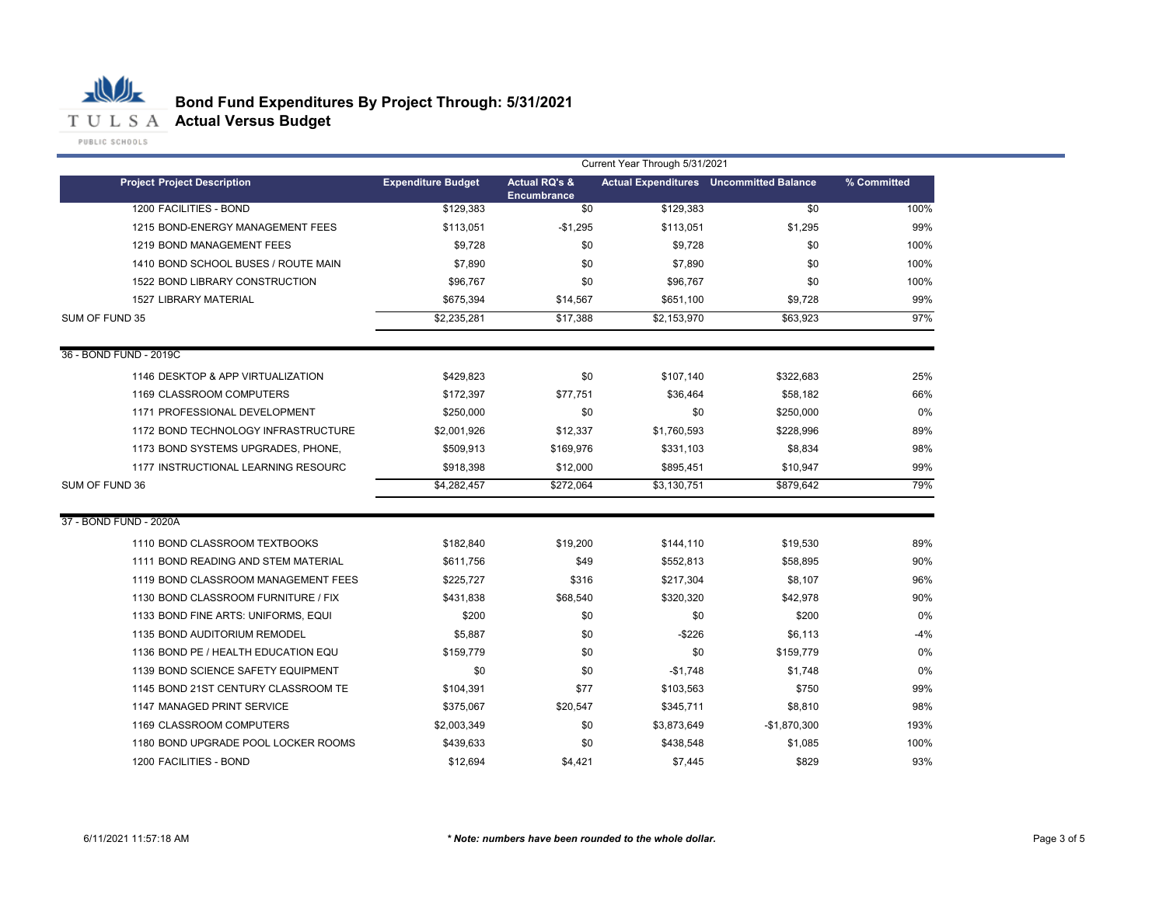

| <b>Actual RQ's &amp;</b><br><b>Project Project Description</b><br><b>Expenditure Budget</b><br><b>Actual Expenditures</b> Uncommitted Balance<br>% Committed<br><b>Encumbrance</b><br>1200 FACILITIES - BOND<br>\$129.383<br>\$0<br>\$129,383<br>\$0<br>1215 BOND-ENERGY MANAGEMENT FEES<br>\$113,051<br>$-$1,295$<br>\$113,051<br>\$1,295<br>\$9,728<br>\$0<br>\$9,728<br>1219 BOND MANAGEMENT FEES<br>\$0<br>\$7,890<br>\$0<br>1410 BOND SCHOOL BUSES / ROUTE MAIN<br>\$7,890<br>\$0<br>\$0<br>\$0<br>1522 BOND LIBRARY CONSTRUCTION<br>\$96,767<br>\$96,767<br>1527 LIBRARY MATERIAL<br>\$675,394<br>\$14,567<br>\$651,100<br>\$9,728<br>\$2,235,281<br>\$2,153,970<br>\$17,388<br>\$63,923<br>\$429,823<br>\$0<br>\$107,140<br>\$322,683<br>1146 DESKTOP & APP VIRTUALIZATION<br>\$172,397<br>\$58,182<br>1169 CLASSROOM COMPUTERS<br>\$77,751<br>\$36,464<br>\$250,000<br>\$0<br>\$250,000<br>1171 PROFESSIONAL DEVELOPMENT<br>\$0<br>1172 BOND TECHNOLOGY INFRASTRUCTURE<br>\$2,001,926<br>\$12,337<br>\$1,760,593<br>\$228,996<br>1173 BOND SYSTEMS UPGRADES, PHONE,<br>\$509,913<br>\$169,976<br>\$331,103<br>\$8,834<br>99%<br>1177 INSTRUCTIONAL LEARNING RESOURC<br>\$918,398<br>\$12,000<br>\$895,451<br>\$10,947<br>\$4,282,457<br>\$272,064<br>\$3,130,751<br>\$879,642<br>\$182,840<br>\$19,200<br>\$19,530<br>1110 BOND CLASSROOM TEXTBOOKS<br>\$144,110<br>\$49<br>\$58,895<br>1111 BOND READING AND STEM MATERIAL<br>\$611,756<br>\$552,813<br>1119 BOND CLASSROOM MANAGEMENT FEES<br>\$225,727<br>\$316<br>\$217,304<br>\$8,107<br>1130 BOND CLASSROOM FURNITURE / FIX<br>\$431,838<br>\$68,540<br>\$320,320<br>\$42,978<br>\$200<br>\$0<br>\$200<br>1133 BOND FINE ARTS: UNIFORMS, EQUI<br>\$0<br>$-$226$<br>\$6,113<br>$-4%$<br>1135 BOND AUDITORIUM REMODEL<br>\$5,887<br>\$0<br>1136 BOND PE / HEALTH EDUCATION EQU<br>\$159,779<br>\$0<br>\$0<br>\$159,779<br>0%<br>1139 BOND SCIENCE SAFETY EQUIPMENT<br>\$0<br>\$0<br>$-$1,748$<br>\$1,748<br>\$77<br>99%<br>1145 BOND 21ST CENTURY CLASSROOM TE<br>\$103,563<br>\$750<br>\$104,391<br>98%<br>1147 MANAGED PRINT SERVICE<br>\$375,067<br>\$20,547<br>\$345,711<br>\$8,810<br>\$2,003,349<br>\$0<br>\$3,873,649<br>$-$1,870,300$<br>1169 CLASSROOM COMPUTERS<br>\$1,085<br>1180 BOND UPGRADE POOL LOCKER ROOMS<br>\$439,633<br>\$0<br>\$438,548<br>1200 FACILITIES - BOND<br>\$12,694<br>\$4,421<br>\$829<br>\$7,445 |                        | Current Year Through 5/31/2021 |  |  |  |      |
|-----------------------------------------------------------------------------------------------------------------------------------------------------------------------------------------------------------------------------------------------------------------------------------------------------------------------------------------------------------------------------------------------------------------------------------------------------------------------------------------------------------------------------------------------------------------------------------------------------------------------------------------------------------------------------------------------------------------------------------------------------------------------------------------------------------------------------------------------------------------------------------------------------------------------------------------------------------------------------------------------------------------------------------------------------------------------------------------------------------------------------------------------------------------------------------------------------------------------------------------------------------------------------------------------------------------------------------------------------------------------------------------------------------------------------------------------------------------------------------------------------------------------------------------------------------------------------------------------------------------------------------------------------------------------------------------------------------------------------------------------------------------------------------------------------------------------------------------------------------------------------------------------------------------------------------------------------------------------------------------------------------------------------------------------------------------------------------------------------------------------------------------------------------------------------------------------------------------------------------------------------------------------------------------------------------------------------------------------------------------------------------------------|------------------------|--------------------------------|--|--|--|------|
|                                                                                                                                                                                                                                                                                                                                                                                                                                                                                                                                                                                                                                                                                                                                                                                                                                                                                                                                                                                                                                                                                                                                                                                                                                                                                                                                                                                                                                                                                                                                                                                                                                                                                                                                                                                                                                                                                                                                                                                                                                                                                                                                                                                                                                                                                                                                                                                               |                        |                                |  |  |  |      |
|                                                                                                                                                                                                                                                                                                                                                                                                                                                                                                                                                                                                                                                                                                                                                                                                                                                                                                                                                                                                                                                                                                                                                                                                                                                                                                                                                                                                                                                                                                                                                                                                                                                                                                                                                                                                                                                                                                                                                                                                                                                                                                                                                                                                                                                                                                                                                                                               |                        |                                |  |  |  | 100% |
|                                                                                                                                                                                                                                                                                                                                                                                                                                                                                                                                                                                                                                                                                                                                                                                                                                                                                                                                                                                                                                                                                                                                                                                                                                                                                                                                                                                                                                                                                                                                                                                                                                                                                                                                                                                                                                                                                                                                                                                                                                                                                                                                                                                                                                                                                                                                                                                               |                        |                                |  |  |  | 99%  |
|                                                                                                                                                                                                                                                                                                                                                                                                                                                                                                                                                                                                                                                                                                                                                                                                                                                                                                                                                                                                                                                                                                                                                                                                                                                                                                                                                                                                                                                                                                                                                                                                                                                                                                                                                                                                                                                                                                                                                                                                                                                                                                                                                                                                                                                                                                                                                                                               |                        |                                |  |  |  | 100% |
|                                                                                                                                                                                                                                                                                                                                                                                                                                                                                                                                                                                                                                                                                                                                                                                                                                                                                                                                                                                                                                                                                                                                                                                                                                                                                                                                                                                                                                                                                                                                                                                                                                                                                                                                                                                                                                                                                                                                                                                                                                                                                                                                                                                                                                                                                                                                                                                               |                        |                                |  |  |  | 100% |
|                                                                                                                                                                                                                                                                                                                                                                                                                                                                                                                                                                                                                                                                                                                                                                                                                                                                                                                                                                                                                                                                                                                                                                                                                                                                                                                                                                                                                                                                                                                                                                                                                                                                                                                                                                                                                                                                                                                                                                                                                                                                                                                                                                                                                                                                                                                                                                                               |                        |                                |  |  |  | 100% |
|                                                                                                                                                                                                                                                                                                                                                                                                                                                                                                                                                                                                                                                                                                                                                                                                                                                                                                                                                                                                                                                                                                                                                                                                                                                                                                                                                                                                                                                                                                                                                                                                                                                                                                                                                                                                                                                                                                                                                                                                                                                                                                                                                                                                                                                                                                                                                                                               |                        |                                |  |  |  | 99%  |
|                                                                                                                                                                                                                                                                                                                                                                                                                                                                                                                                                                                                                                                                                                                                                                                                                                                                                                                                                                                                                                                                                                                                                                                                                                                                                                                                                                                                                                                                                                                                                                                                                                                                                                                                                                                                                                                                                                                                                                                                                                                                                                                                                                                                                                                                                                                                                                                               | SUM OF FUND 35         |                                |  |  |  | 97%  |
|                                                                                                                                                                                                                                                                                                                                                                                                                                                                                                                                                                                                                                                                                                                                                                                                                                                                                                                                                                                                                                                                                                                                                                                                                                                                                                                                                                                                                                                                                                                                                                                                                                                                                                                                                                                                                                                                                                                                                                                                                                                                                                                                                                                                                                                                                                                                                                                               | 36 - BOND FUND - 2019C |                                |  |  |  |      |
|                                                                                                                                                                                                                                                                                                                                                                                                                                                                                                                                                                                                                                                                                                                                                                                                                                                                                                                                                                                                                                                                                                                                                                                                                                                                                                                                                                                                                                                                                                                                                                                                                                                                                                                                                                                                                                                                                                                                                                                                                                                                                                                                                                                                                                                                                                                                                                                               |                        |                                |  |  |  | 25%  |
|                                                                                                                                                                                                                                                                                                                                                                                                                                                                                                                                                                                                                                                                                                                                                                                                                                                                                                                                                                                                                                                                                                                                                                                                                                                                                                                                                                                                                                                                                                                                                                                                                                                                                                                                                                                                                                                                                                                                                                                                                                                                                                                                                                                                                                                                                                                                                                                               |                        |                                |  |  |  | 66%  |
|                                                                                                                                                                                                                                                                                                                                                                                                                                                                                                                                                                                                                                                                                                                                                                                                                                                                                                                                                                                                                                                                                                                                                                                                                                                                                                                                                                                                                                                                                                                                                                                                                                                                                                                                                                                                                                                                                                                                                                                                                                                                                                                                                                                                                                                                                                                                                                                               |                        |                                |  |  |  | 0%   |
|                                                                                                                                                                                                                                                                                                                                                                                                                                                                                                                                                                                                                                                                                                                                                                                                                                                                                                                                                                                                                                                                                                                                                                                                                                                                                                                                                                                                                                                                                                                                                                                                                                                                                                                                                                                                                                                                                                                                                                                                                                                                                                                                                                                                                                                                                                                                                                                               |                        |                                |  |  |  | 89%  |
|                                                                                                                                                                                                                                                                                                                                                                                                                                                                                                                                                                                                                                                                                                                                                                                                                                                                                                                                                                                                                                                                                                                                                                                                                                                                                                                                                                                                                                                                                                                                                                                                                                                                                                                                                                                                                                                                                                                                                                                                                                                                                                                                                                                                                                                                                                                                                                                               |                        |                                |  |  |  | 98%  |
|                                                                                                                                                                                                                                                                                                                                                                                                                                                                                                                                                                                                                                                                                                                                                                                                                                                                                                                                                                                                                                                                                                                                                                                                                                                                                                                                                                                                                                                                                                                                                                                                                                                                                                                                                                                                                                                                                                                                                                                                                                                                                                                                                                                                                                                                                                                                                                                               |                        |                                |  |  |  |      |
|                                                                                                                                                                                                                                                                                                                                                                                                                                                                                                                                                                                                                                                                                                                                                                                                                                                                                                                                                                                                                                                                                                                                                                                                                                                                                                                                                                                                                                                                                                                                                                                                                                                                                                                                                                                                                                                                                                                                                                                                                                                                                                                                                                                                                                                                                                                                                                                               | SUM OF FUND 36         |                                |  |  |  | 79%  |
|                                                                                                                                                                                                                                                                                                                                                                                                                                                                                                                                                                                                                                                                                                                                                                                                                                                                                                                                                                                                                                                                                                                                                                                                                                                                                                                                                                                                                                                                                                                                                                                                                                                                                                                                                                                                                                                                                                                                                                                                                                                                                                                                                                                                                                                                                                                                                                                               | 37 - BOND FUND - 2020A |                                |  |  |  |      |
|                                                                                                                                                                                                                                                                                                                                                                                                                                                                                                                                                                                                                                                                                                                                                                                                                                                                                                                                                                                                                                                                                                                                                                                                                                                                                                                                                                                                                                                                                                                                                                                                                                                                                                                                                                                                                                                                                                                                                                                                                                                                                                                                                                                                                                                                                                                                                                                               |                        |                                |  |  |  | 89%  |
|                                                                                                                                                                                                                                                                                                                                                                                                                                                                                                                                                                                                                                                                                                                                                                                                                                                                                                                                                                                                                                                                                                                                                                                                                                                                                                                                                                                                                                                                                                                                                                                                                                                                                                                                                                                                                                                                                                                                                                                                                                                                                                                                                                                                                                                                                                                                                                                               |                        |                                |  |  |  | 90%  |
|                                                                                                                                                                                                                                                                                                                                                                                                                                                                                                                                                                                                                                                                                                                                                                                                                                                                                                                                                                                                                                                                                                                                                                                                                                                                                                                                                                                                                                                                                                                                                                                                                                                                                                                                                                                                                                                                                                                                                                                                                                                                                                                                                                                                                                                                                                                                                                                               |                        |                                |  |  |  | 96%  |
|                                                                                                                                                                                                                                                                                                                                                                                                                                                                                                                                                                                                                                                                                                                                                                                                                                                                                                                                                                                                                                                                                                                                                                                                                                                                                                                                                                                                                                                                                                                                                                                                                                                                                                                                                                                                                                                                                                                                                                                                                                                                                                                                                                                                                                                                                                                                                                                               |                        |                                |  |  |  | 90%  |
|                                                                                                                                                                                                                                                                                                                                                                                                                                                                                                                                                                                                                                                                                                                                                                                                                                                                                                                                                                                                                                                                                                                                                                                                                                                                                                                                                                                                                                                                                                                                                                                                                                                                                                                                                                                                                                                                                                                                                                                                                                                                                                                                                                                                                                                                                                                                                                                               |                        |                                |  |  |  | 0%   |
|                                                                                                                                                                                                                                                                                                                                                                                                                                                                                                                                                                                                                                                                                                                                                                                                                                                                                                                                                                                                                                                                                                                                                                                                                                                                                                                                                                                                                                                                                                                                                                                                                                                                                                                                                                                                                                                                                                                                                                                                                                                                                                                                                                                                                                                                                                                                                                                               |                        |                                |  |  |  |      |
|                                                                                                                                                                                                                                                                                                                                                                                                                                                                                                                                                                                                                                                                                                                                                                                                                                                                                                                                                                                                                                                                                                                                                                                                                                                                                                                                                                                                                                                                                                                                                                                                                                                                                                                                                                                                                                                                                                                                                                                                                                                                                                                                                                                                                                                                                                                                                                                               |                        |                                |  |  |  |      |
|                                                                                                                                                                                                                                                                                                                                                                                                                                                                                                                                                                                                                                                                                                                                                                                                                                                                                                                                                                                                                                                                                                                                                                                                                                                                                                                                                                                                                                                                                                                                                                                                                                                                                                                                                                                                                                                                                                                                                                                                                                                                                                                                                                                                                                                                                                                                                                                               |                        |                                |  |  |  | 0%   |
|                                                                                                                                                                                                                                                                                                                                                                                                                                                                                                                                                                                                                                                                                                                                                                                                                                                                                                                                                                                                                                                                                                                                                                                                                                                                                                                                                                                                                                                                                                                                                                                                                                                                                                                                                                                                                                                                                                                                                                                                                                                                                                                                                                                                                                                                                                                                                                                               |                        |                                |  |  |  |      |
|                                                                                                                                                                                                                                                                                                                                                                                                                                                                                                                                                                                                                                                                                                                                                                                                                                                                                                                                                                                                                                                                                                                                                                                                                                                                                                                                                                                                                                                                                                                                                                                                                                                                                                                                                                                                                                                                                                                                                                                                                                                                                                                                                                                                                                                                                                                                                                                               |                        |                                |  |  |  |      |
|                                                                                                                                                                                                                                                                                                                                                                                                                                                                                                                                                                                                                                                                                                                                                                                                                                                                                                                                                                                                                                                                                                                                                                                                                                                                                                                                                                                                                                                                                                                                                                                                                                                                                                                                                                                                                                                                                                                                                                                                                                                                                                                                                                                                                                                                                                                                                                                               |                        |                                |  |  |  | 193% |
|                                                                                                                                                                                                                                                                                                                                                                                                                                                                                                                                                                                                                                                                                                                                                                                                                                                                                                                                                                                                                                                                                                                                                                                                                                                                                                                                                                                                                                                                                                                                                                                                                                                                                                                                                                                                                                                                                                                                                                                                                                                                                                                                                                                                                                                                                                                                                                                               |                        |                                |  |  |  | 100% |
|                                                                                                                                                                                                                                                                                                                                                                                                                                                                                                                                                                                                                                                                                                                                                                                                                                                                                                                                                                                                                                                                                                                                                                                                                                                                                                                                                                                                                                                                                                                                                                                                                                                                                                                                                                                                                                                                                                                                                                                                                                                                                                                                                                                                                                                                                                                                                                                               |                        |                                |  |  |  | 93%  |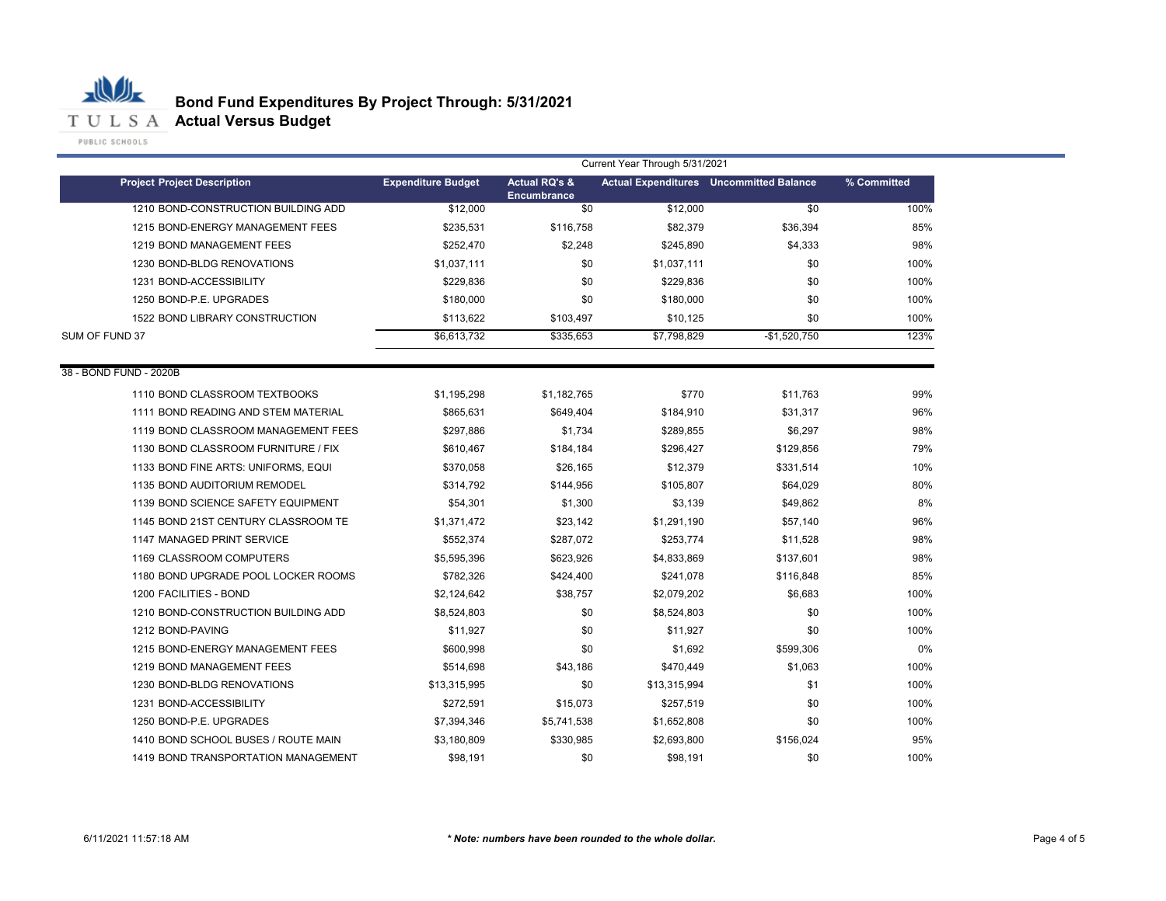

|                                     | Current Year Through 5/31/2021 |                                                |              |                                                |             |  |
|-------------------------------------|--------------------------------|------------------------------------------------|--------------|------------------------------------------------|-------------|--|
| <b>Project Project Description</b>  | <b>Expenditure Budget</b>      | <b>Actual RQ's &amp;</b><br><b>Encumbrance</b> |              | <b>Actual Expenditures</b> Uncommitted Balance | % Committed |  |
| 1210 BOND-CONSTRUCTION BUILDING ADD | \$12,000                       | \$0                                            | \$12,000     | \$0                                            | 100%        |  |
| 1215 BOND-ENERGY MANAGEMENT FEES    | \$235,531                      | \$116,758                                      | \$82,379     | \$36,394                                       | 85%         |  |
| 1219 BOND MANAGEMENT FEES           | \$252.470                      | \$2,248                                        | \$245.890    | \$4,333                                        | 98%         |  |
| 1230 BOND-BLDG RENOVATIONS          | \$1,037,111                    | \$0                                            | \$1,037,111  | \$0                                            | 100%        |  |
| 1231 BOND-ACCESSIBILITY             | \$229,836                      | \$0                                            | \$229,836    | \$0                                            | 100%        |  |
| 1250 BOND-P.E. UPGRADES             | \$180,000                      | \$0                                            | \$180,000    | \$0                                            | 100%        |  |
| 1522 BOND LIBRARY CONSTRUCTION      | \$113,622                      | \$103,497                                      | \$10,125     | \$0                                            | 100%        |  |
| SUM OF FUND 37                      | \$6,613,732                    | \$335,653                                      | \$7,798,829  | $-$1,520,750$                                  | 123%        |  |
| 38 - BOND FUND - 2020B              |                                |                                                |              |                                                |             |  |
| 1110 BOND CLASSROOM TEXTBOOKS       | \$1,195,298                    | \$1,182,765                                    | \$770        | \$11,763                                       | 99%         |  |
| 1111 BOND READING AND STEM MATERIAL | \$865,631                      | \$649,404                                      | \$184,910    | \$31,317                                       | 96%         |  |
| 1119 BOND CLASSROOM MANAGEMENT FEES | \$297,886                      | \$1,734                                        | \$289,855    | \$6,297                                        | 98%         |  |
| 1130 BOND CLASSROOM FURNITURE / FIX | \$610,467                      | \$184,184                                      | \$296,427    | \$129,856                                      | 79%         |  |
| 1133 BOND FINE ARTS: UNIFORMS, EQUI | \$370,058                      | \$26,165                                       | \$12,379     | \$331,514                                      | 10%         |  |
| 1135 BOND AUDITORIUM REMODEL        | \$314,792                      | \$144,956                                      | \$105,807    | \$64,029                                       | 80%         |  |
| 1139 BOND SCIENCE SAFETY EQUIPMENT  | \$54,301                       | \$1,300                                        | \$3,139      | \$49,862                                       | 8%          |  |
| 1145 BOND 21ST CENTURY CLASSROOM TE | \$1,371,472                    | \$23,142                                       | \$1,291,190  | \$57,140                                       | 96%         |  |
| 1147 MANAGED PRINT SERVICE          | \$552,374                      | \$287,072                                      | \$253,774    | \$11,528                                       | 98%         |  |
| 1169 CLASSROOM COMPUTERS            | \$5,595,396                    | \$623,926                                      | \$4,833,869  | \$137,601                                      | 98%         |  |
| 1180 BOND UPGRADE POOL LOCKER ROOMS | \$782,326                      | \$424,400                                      | \$241,078    | \$116,848                                      | 85%         |  |
| 1200 FACILITIES - BOND              | \$2,124,642                    | \$38,757                                       | \$2,079,202  | \$6,683                                        | 100%        |  |
| 1210 BOND-CONSTRUCTION BUILDING ADD | \$8,524,803                    | \$0                                            | \$8,524,803  | \$0                                            | 100%        |  |
| 1212 BOND-PAVING                    | \$11,927                       | \$0                                            | \$11,927     | \$0                                            | 100%        |  |
| 1215 BOND-ENERGY MANAGEMENT FEES    | \$600.998                      | \$0                                            | \$1,692      | \$599,306                                      | 0%          |  |
| 1219 BOND MANAGEMENT FEES           | \$514,698                      | \$43,186                                       | \$470,449    | \$1,063                                        | 100%        |  |
| 1230 BOND-BLDG RENOVATIONS          | \$13,315,995                   | \$0                                            | \$13,315,994 | \$1                                            | 100%        |  |
| 1231 BOND-ACCESSIBILITY             | \$272,591                      | \$15,073                                       | \$257,519    | \$0                                            | 100%        |  |
| 1250 BOND-P.E. UPGRADES             | \$7,394,346                    | \$5,741,538                                    | \$1,652,808  | \$0                                            | 100%        |  |
| 1410 BOND SCHOOL BUSES / ROUTE MAIN | \$3.180.809                    | \$330,985                                      | \$2,693,800  | \$156,024                                      | 95%         |  |
| 1419 BOND TRANSPORTATION MANAGEMENT | \$98,191                       | \$0                                            | \$98,191     | \$0                                            | 100%        |  |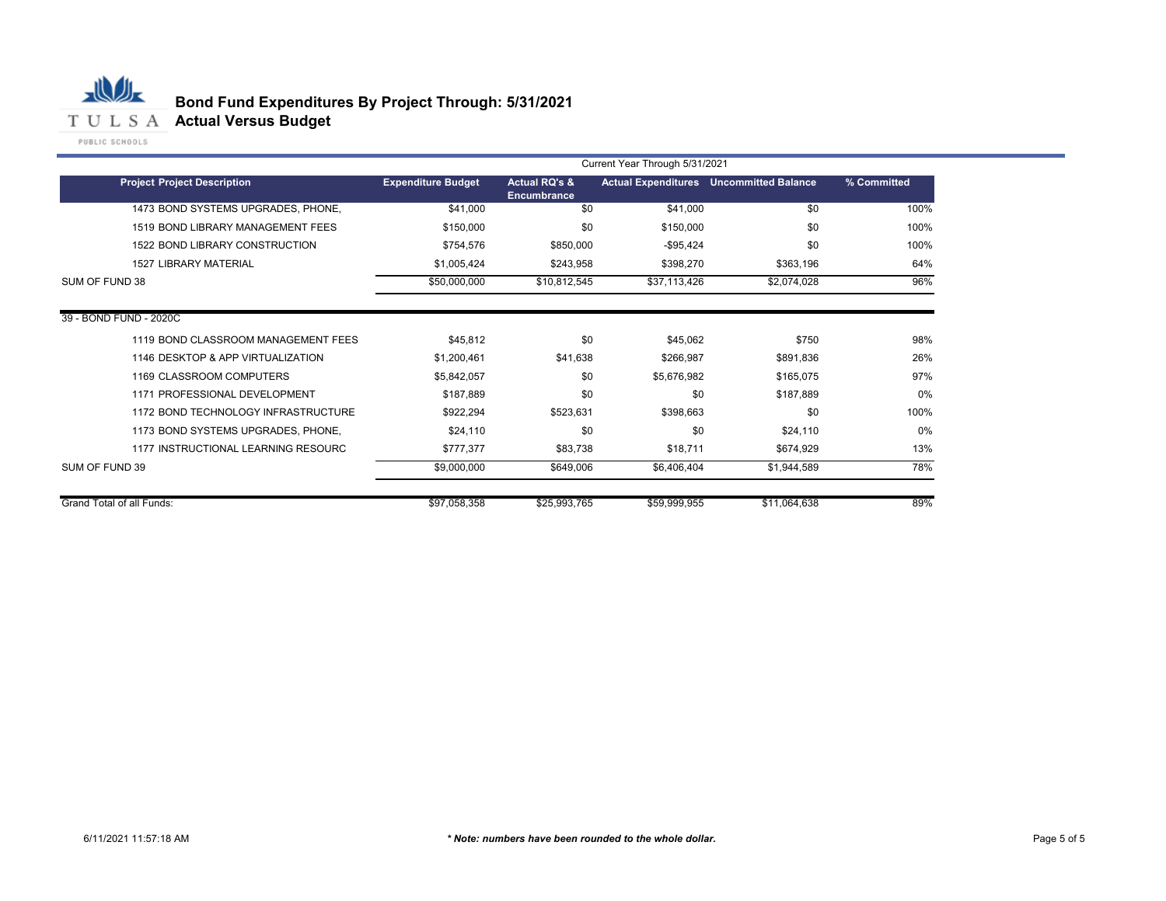

# **Bond Fund Expenditures By Project Through: 5/31/2021**

| Current Year Through 5/31/2021      |                           |                                                |              |                                                |             |  |
|-------------------------------------|---------------------------|------------------------------------------------|--------------|------------------------------------------------|-------------|--|
| <b>Project Project Description</b>  | <b>Expenditure Budget</b> | <b>Actual RQ's &amp;</b><br><b>Encumbrance</b> |              | <b>Actual Expenditures</b> Uncommitted Balance | % Committed |  |
| 1473 BOND SYSTEMS UPGRADES, PHONE,  | \$41,000                  | \$0                                            | \$41,000     | \$0                                            | 100%        |  |
| 1519 BOND LIBRARY MANAGEMENT FEES   | \$150,000                 | \$0                                            | \$150,000    | \$0                                            | 100%        |  |
| 1522 BOND LIBRARY CONSTRUCTION      | \$754,576                 | \$850,000                                      | $-$95,424$   | \$0                                            | 100%        |  |
| <b>1527 LIBRARY MATERIAL</b>        | \$1,005,424               | \$243,958                                      | \$398,270    | \$363,196                                      | 64%         |  |
| SUM OF FUND 38                      | \$50,000,000              | \$10,812,545                                   | \$37,113,426 | \$2,074,028                                    | 96%         |  |
| 39 - BOND FUND - 2020C              |                           |                                                |              |                                                |             |  |
| 1119 BOND CLASSROOM MANAGEMENT FEES | \$45,812                  | \$0                                            | \$45.062     | \$750                                          | 98%         |  |
| 1146 DESKTOP & APP VIRTUALIZATION   | \$1,200,461               | \$41,638                                       | \$266,987    | \$891,836                                      | 26%         |  |
| 1169 CLASSROOM COMPUTERS            | \$5,842,057               | \$0                                            | \$5.676.982  | \$165.075                                      | 97%         |  |
| 1171 PROFESSIONAL DEVELOPMENT       | \$187,889                 | \$0                                            | \$0          | \$187,889                                      | 0%          |  |
| 1172 BOND TECHNOLOGY INFRASTRUCTURE | \$922,294                 | \$523,631                                      | \$398.663    | \$0                                            | 100%        |  |
| 1173 BOND SYSTEMS UPGRADES, PHONE,  | \$24,110                  | \$0                                            | \$0          | \$24,110                                       | 0%          |  |
| 1177 INSTRUCTIONAL LEARNING RESOURC | \$777,377                 | \$83,738                                       | \$18,711     | \$674,929                                      | 13%         |  |
| SUM OF FUND 39                      | \$9,000,000               | \$649,006                                      | \$6,406,404  | \$1,944,589                                    | 78%         |  |
| <b>Grand Total of all Funds:</b>    | \$97,058,358              | \$25,993,765                                   | \$59,999,955 | \$11,064,638                                   | 89%         |  |